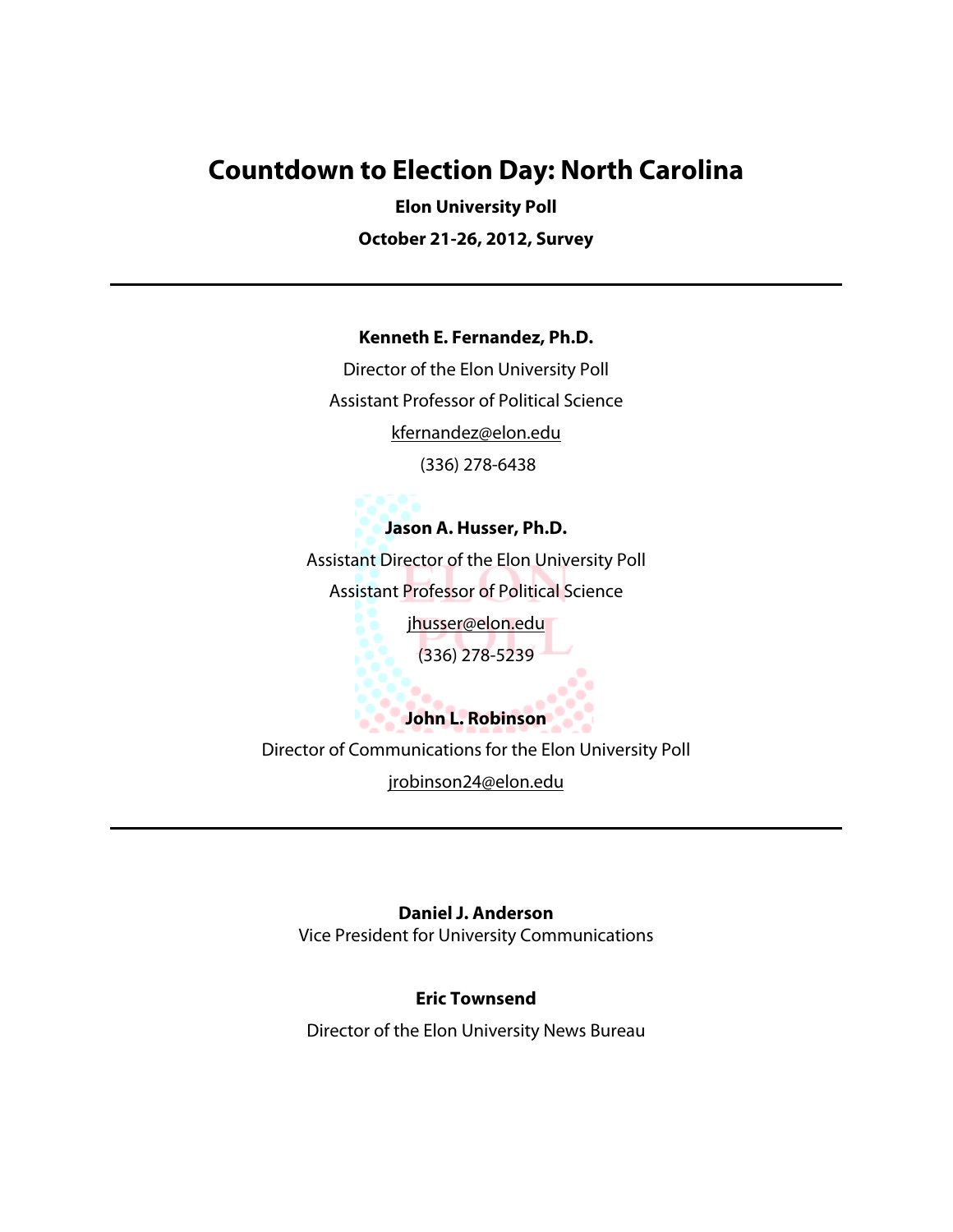# **Countdown to Election Day: North Carolina**

**Elon University Poll**

**October 21-26, 2012, Survey**

**Kenneth E. Fernandez, Ph.D.**

Director of the Elon University Poll Assistant Professor of Political Science kfernandez@elon.edu (336) 278-6438

## **Jason A. Husser, Ph.D.**

Assistant Director of the Elon University Poll Assistant Professor of Political Science

> jhusser@elon.edu (336) 278-5239

## **John L. Robinson**

Director of Communications for the Elon University Poll

jrobinson24@elon.edu

#### **Daniel J. Anderson**

Vice President for University Communications

#### **Eric Townsend**

Director of the Elon University News Bureau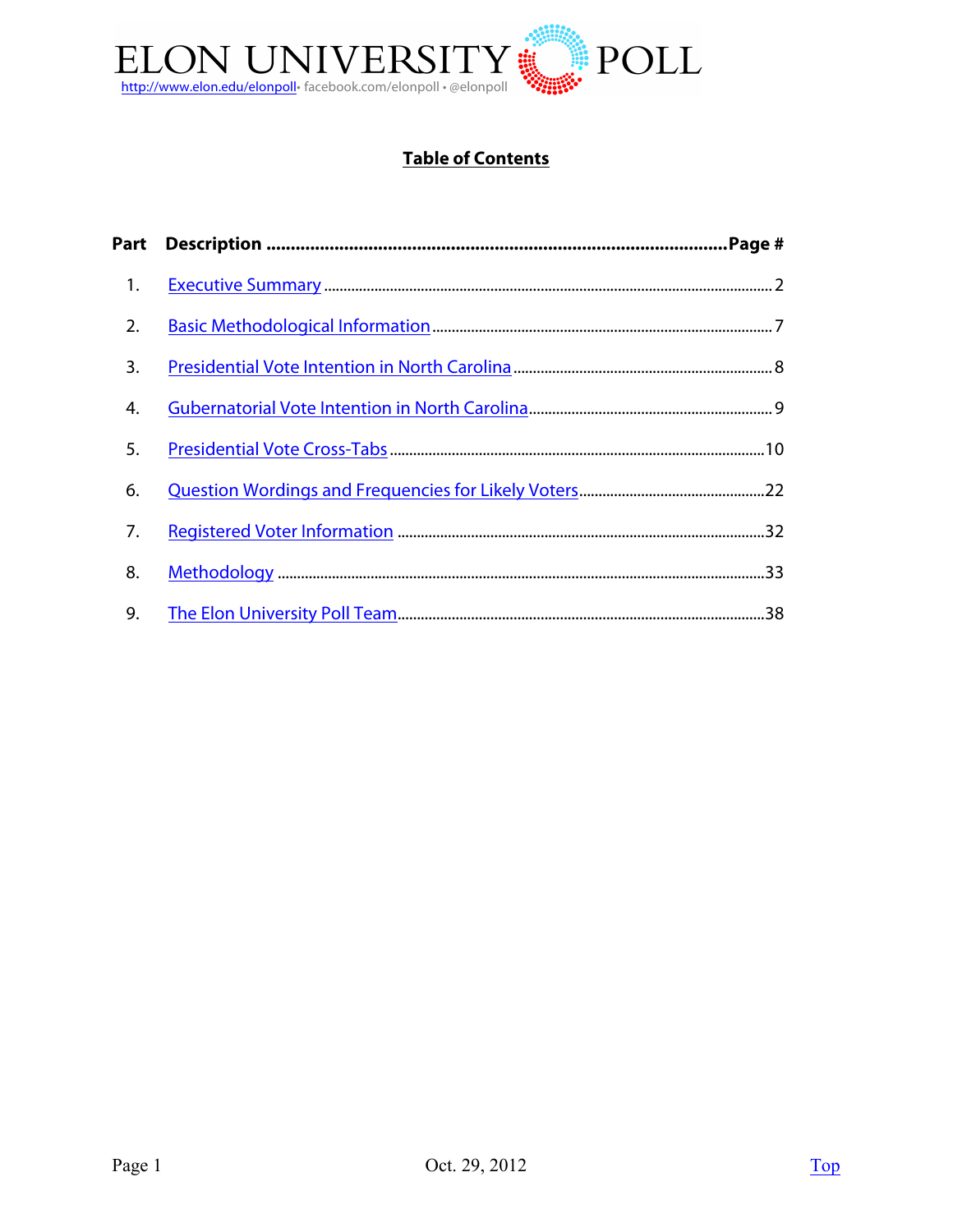

# **Table of Contents**

| Part |  |
|------|--|
| 1.   |  |
| 2.   |  |
| 3.   |  |
| 4.   |  |
| 5.   |  |
| 6.   |  |
| 7.   |  |
| 8.   |  |
| 9.   |  |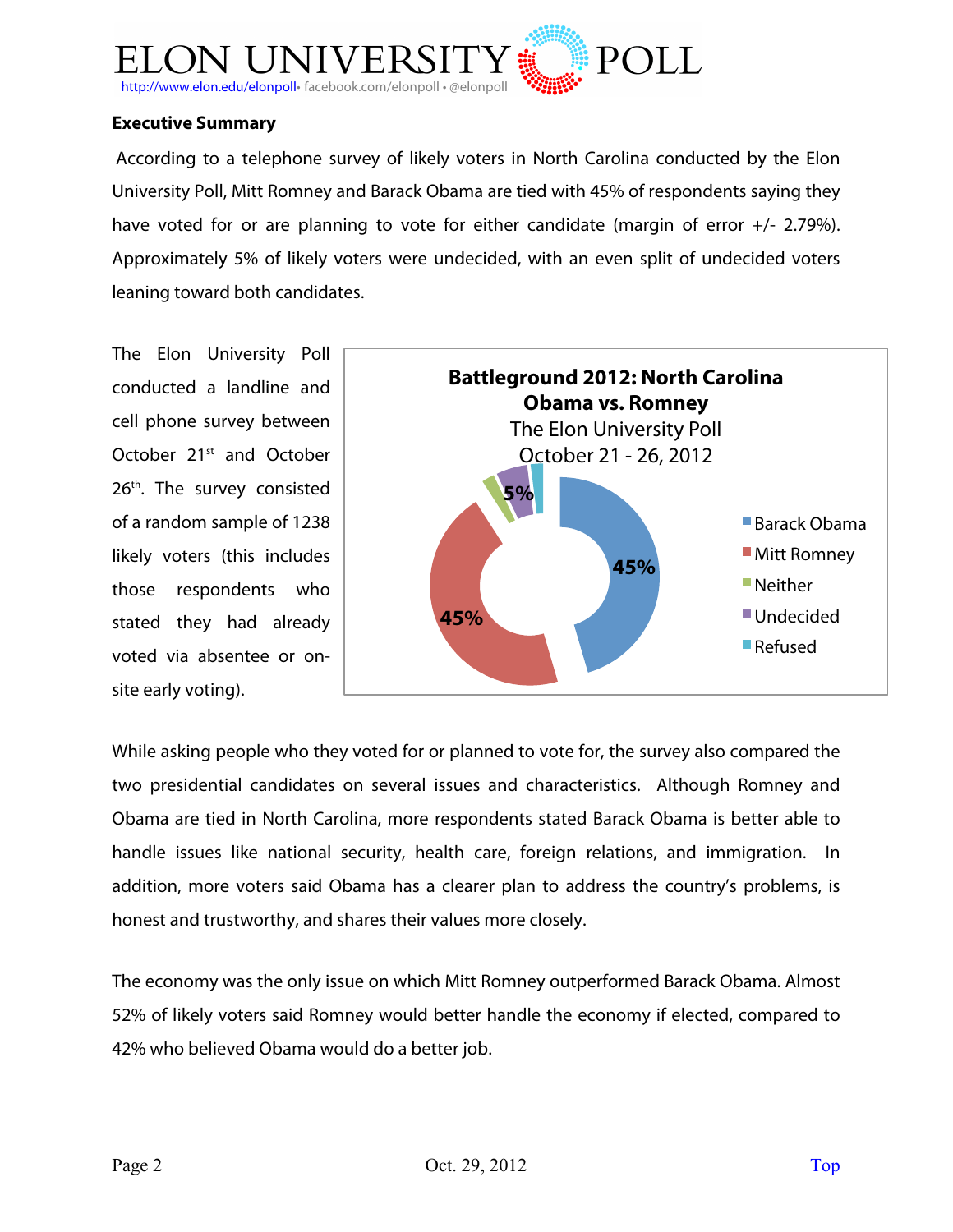

#### **Executive Summary**

According to a telephone survey of likely voters in North Carolina conducted by the Elon University Poll, Mitt Romney and Barack Obama are tied with 45% of respondents saying they have voted for or are planning to vote for either candidate (margin of error +/- 2.79%). Approximately 5% of likely voters were undecided, with an even split of undecided voters leaning toward both candidates.

The Elon University Poll conducted a landline and cell phone survey between October 21<sup>st</sup> and October 26<sup>th</sup>. The survey consisted of a random sample of 1238 likely voters (this includes those respondents who stated they had already voted via absentee or onsite early voting).



While asking people who they voted for or planned to vote for, the survey also compared the two presidential candidates on several issues and characteristics. Although Romney and Obama are tied in North Carolina, more respondents stated Barack Obama is better able to handle issues like national security, health care, foreign relations, and immigration. In addition, more voters said Obama has a clearer plan to address the country's problems, is honest and trustworthy, and shares their values more closely.

The economy was the only issue on which Mitt Romney outperformed Barack Obama. Almost 52% of likely voters said Romney would better handle the economy if elected, compared to 42% who believed Obama would do a better job.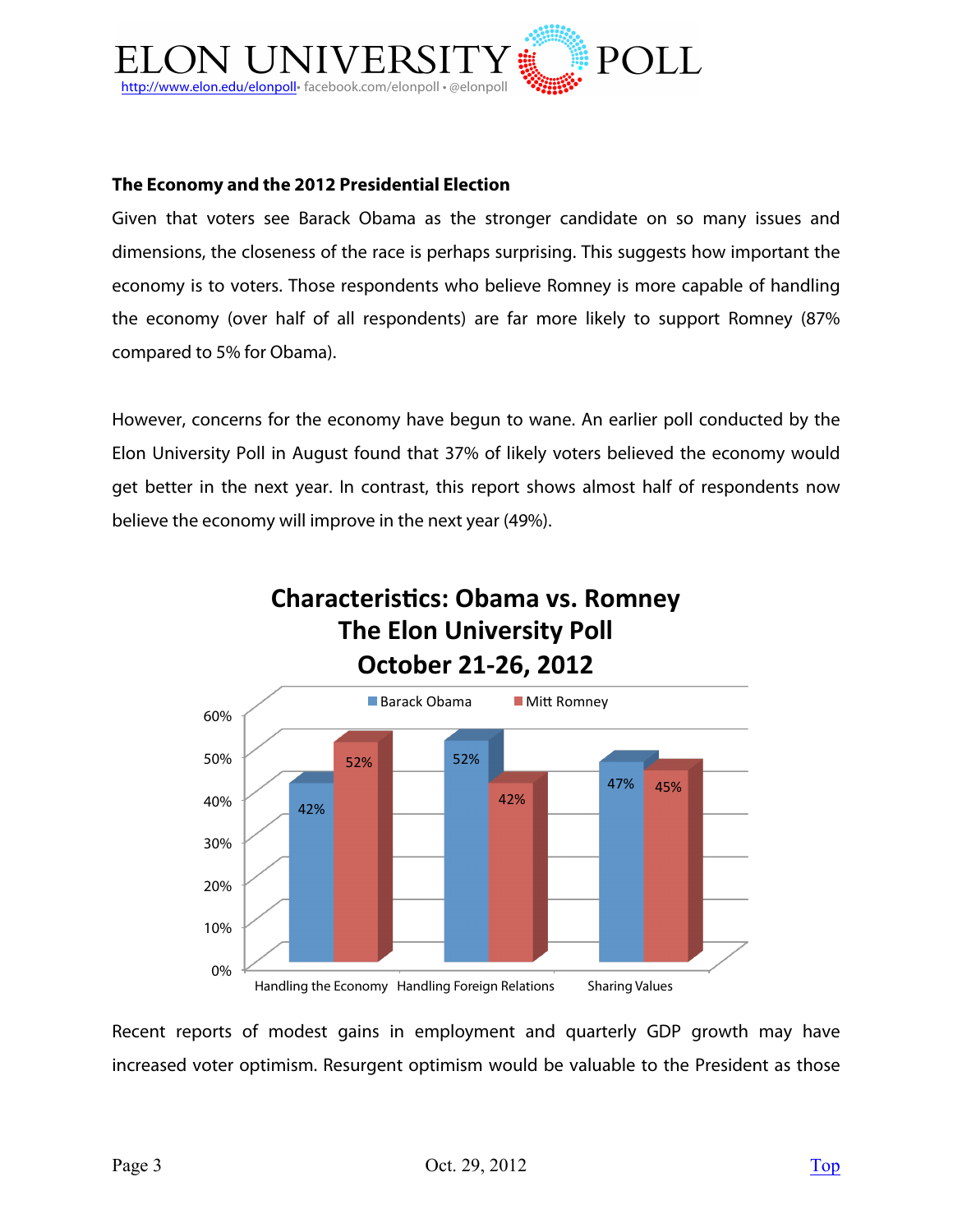

#### **The Economy and the 2012 Presidential Election**

Given that voters see Barack Obama as the stronger candidate on so many issues and dimensions, the closeness of the race is perhaps surprising. This suggests how important the economy is to voters. Those respondents who believe Romney is more capable of handling the economy (over half of all respondents) are far more likely to support Romney (87% compared to 5% for Obama).

However, concerns for the economy have begun to wane. An earlier poll conducted by the Elon University Poll in August found that 37% of likely voters believed the economy would get better in the next year. In contrast, this report shows almost half of respondents now believe the economy will improve in the next year (49%).



Recent reports of modest gains in employment and quarterly GDP growth may have increased voter optimism. Resurgent optimism would be valuable to the President as those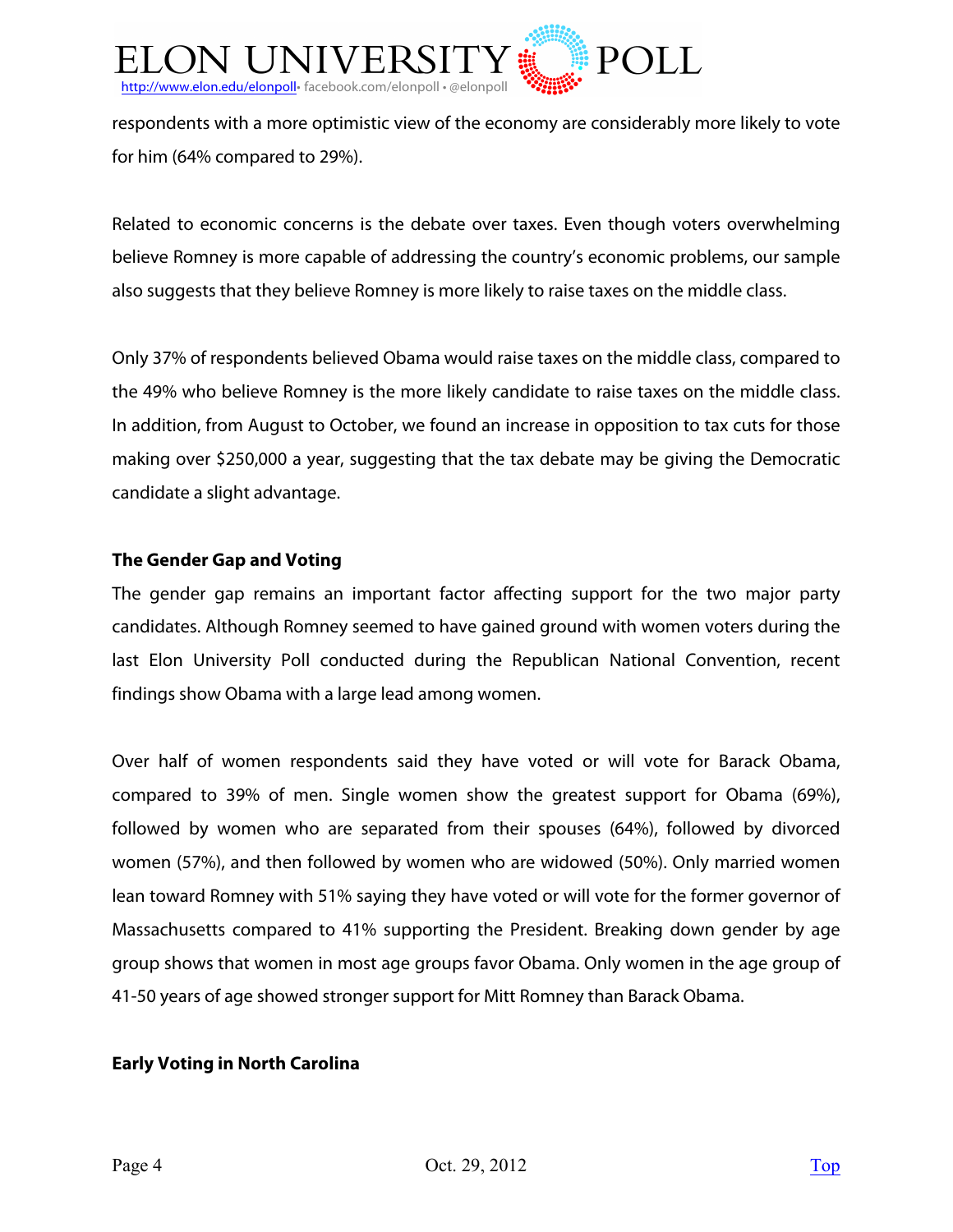

respondents with a more optimistic view of the economy are considerably more likely to vote for him (64% compared to 29%).

Related to economic concerns is the debate over taxes. Even though voters overwhelming believe Romney is more capable of addressing the country's economic problems, our sample also suggests that they believe Romney is more likely to raise taxes on the middle class.

Only 37% of respondents believed Obama would raise taxes on the middle class, compared to the 49% who believe Romney is the more likely candidate to raise taxes on the middle class. In addition, from August to October, we found an increase in opposition to tax cuts for those making over \$250,000 a year, suggesting that the tax debate may be giving the Democratic candidate a slight advantage.

#### **The Gender Gap and Voting**

The gender gap remains an important factor affecting support for the two major party candidates. Although Romney seemed to have gained ground with women voters during the last Elon University Poll conducted during the Republican National Convention, recent findings show Obama with a large lead among women.

Over half of women respondents said they have voted or will vote for Barack Obama, compared to 39% of men. Single women show the greatest support for Obama (69%), followed by women who are separated from their spouses (64%), followed by divorced women (57%), and then followed by women who are widowed (50%). Only married women lean toward Romney with 51% saying they have voted or will vote for the former governor of Massachusetts compared to 41% supporting the President. Breaking down gender by age group shows that women in most age groups favor Obama. Only women in the age group of 41-50 years of age showed stronger support for Mitt Romney than Barack Obama.

#### **Early Voting in North Carolina**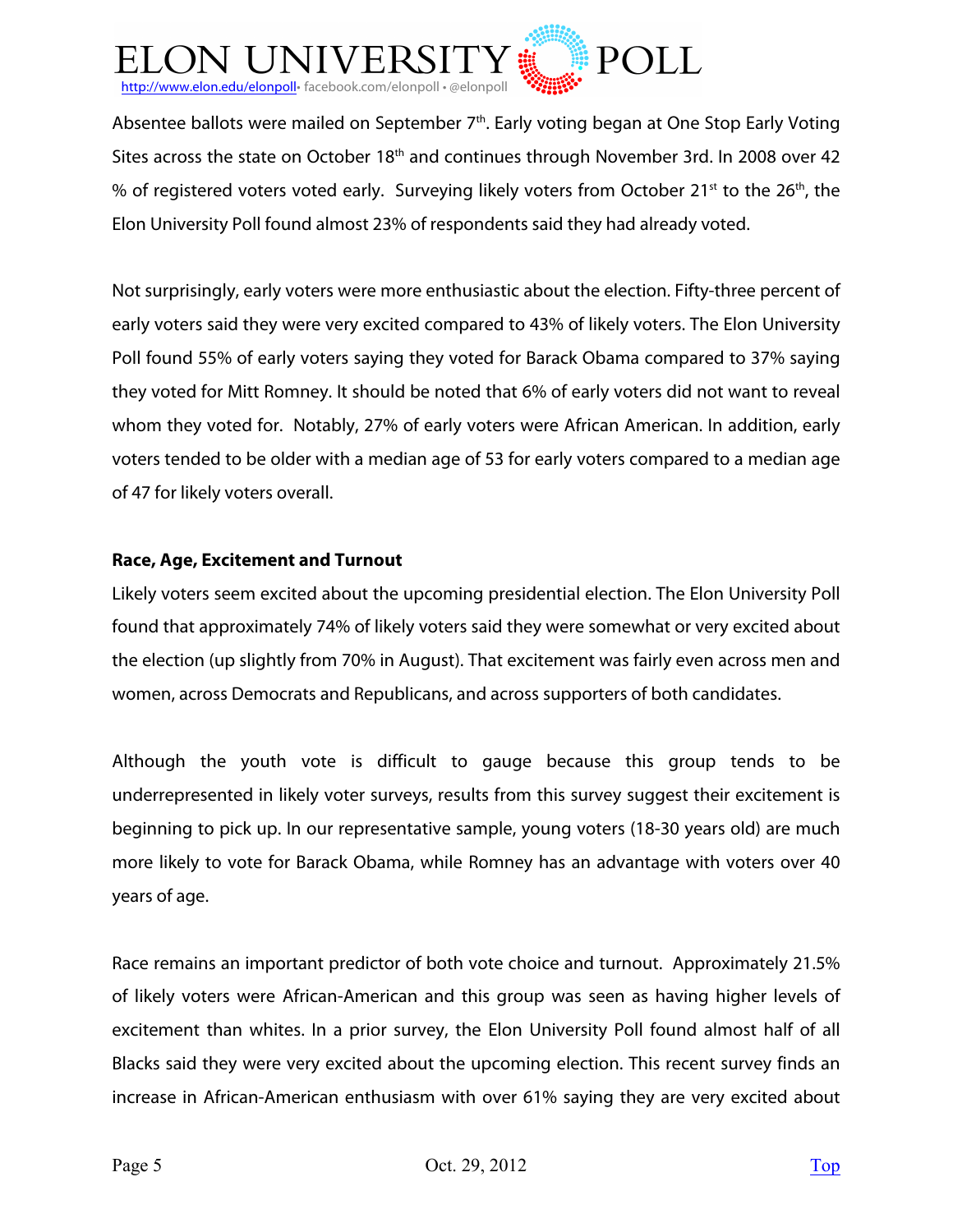

Absentee ballots were mailed on September  $7<sup>th</sup>$ . Early voting began at One Stop Early Voting Sites across the state on October 18<sup>th</sup> and continues through November 3rd. In 2008 over 42 % of registered voters voted early. Surveying likely voters from October 21 $\mathrm{^{st}}$  to the 26<sup>th</sup>, the Elon University Poll found almost 23% of respondents said they had already voted.

Not surprisingly, early voters were more enthusiastic about the election. Fifty-three percent of early voters said they were very excited compared to 43% of likely voters. The Elon University Poll found 55% of early voters saying they voted for Barack Obama compared to 37% saying they voted for Mitt Romney. It should be noted that 6% of early voters did not want to reveal whom they voted for. Notably, 27% of early voters were African American. In addition, early voters tended to be older with a median age of 53 for early voters compared to a median age of 47 for likely voters overall.

#### **Race, Age, Excitement and Turnout**

Likely voters seem excited about the upcoming presidential election. The Elon University Poll found that approximately 74% of likely voters said they were somewhat or very excited about the election (up slightly from 70% in August). That excitement was fairly even across men and women, across Democrats and Republicans, and across supporters of both candidates.

Although the youth vote is difficult to gauge because this group tends to be underrepresented in likely voter surveys, results from this survey suggest their excitement is beginning to pick up. In our representative sample, young voters (18-30 years old) are much more likely to vote for Barack Obama, while Romney has an advantage with voters over 40 years of age.

Race remains an important predictor of both vote choice and turnout. Approximately 21.5% of likely voters were African-American and this group was seen as having higher levels of excitement than whites. In a prior survey, the Elon University Poll found almost half of all Blacks said they were very excited about the upcoming election. This recent survey finds an increase in African-American enthusiasm with over 61% saying they are very excited about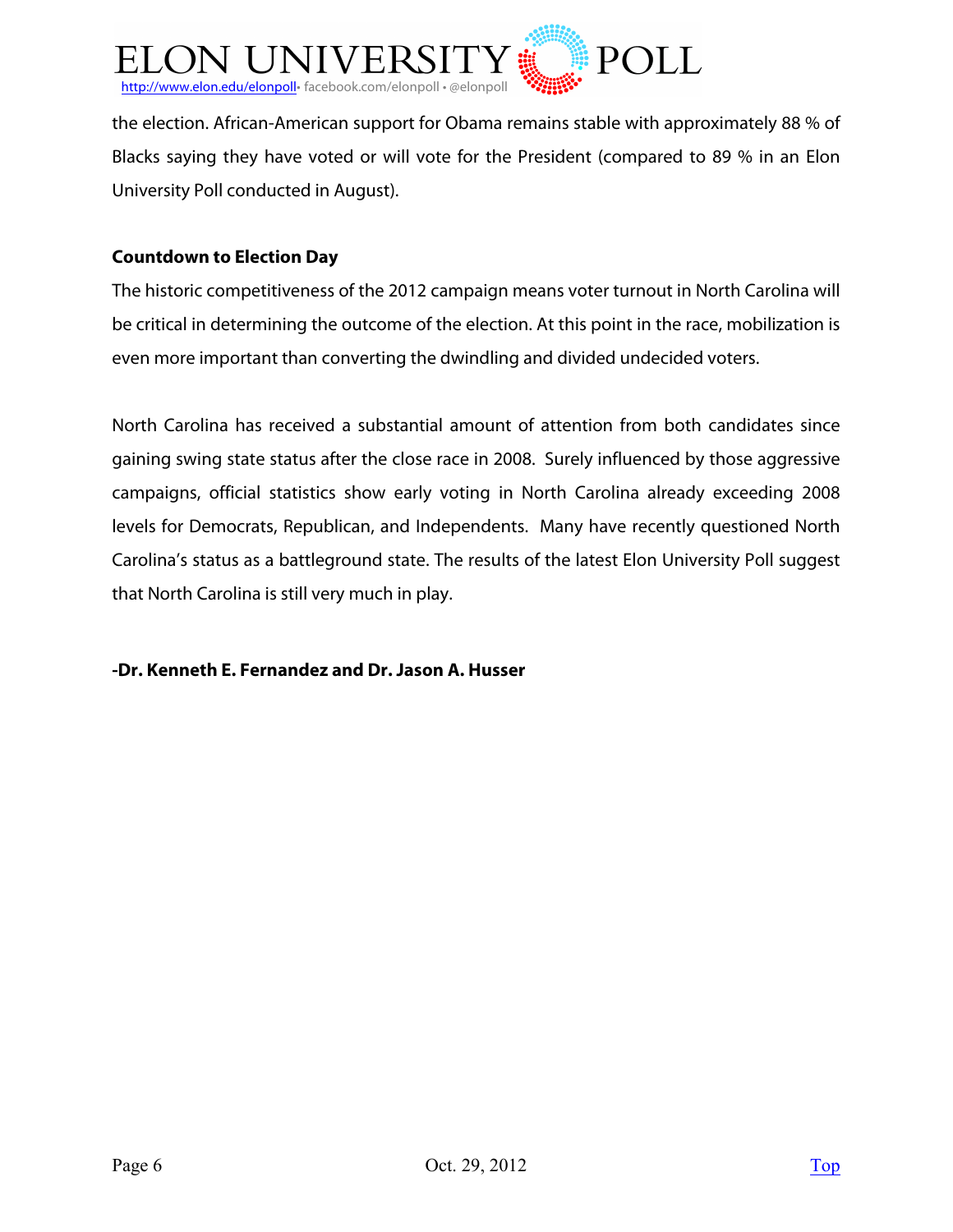

the election. African-American support for Obama remains stable with approximately 88 % of Blacks saying they have voted or will vote for the President (compared to 89 % in an Elon University Poll conducted in August).

#### **Countdown to Election Day**

The historic competitiveness of the 2012 campaign means voter turnout in North Carolina will be critical in determining the outcome of the election. At this point in the race, mobilization is even more important than converting the dwindling and divided undecided voters.

North Carolina has received a substantial amount of attention from both candidates since gaining swing state status after the close race in 2008. Surely influenced by those aggressive campaigns, official statistics show early voting in North Carolina already exceeding 2008 levels for Democrats, Republican, and Independents. Many have recently questioned North Carolina's status as a battleground state. The results of the latest Elon University Poll suggest that North Carolina is still very much in play.

#### **-Dr. Kenneth E. Fernandez and Dr. Jason A. Husser**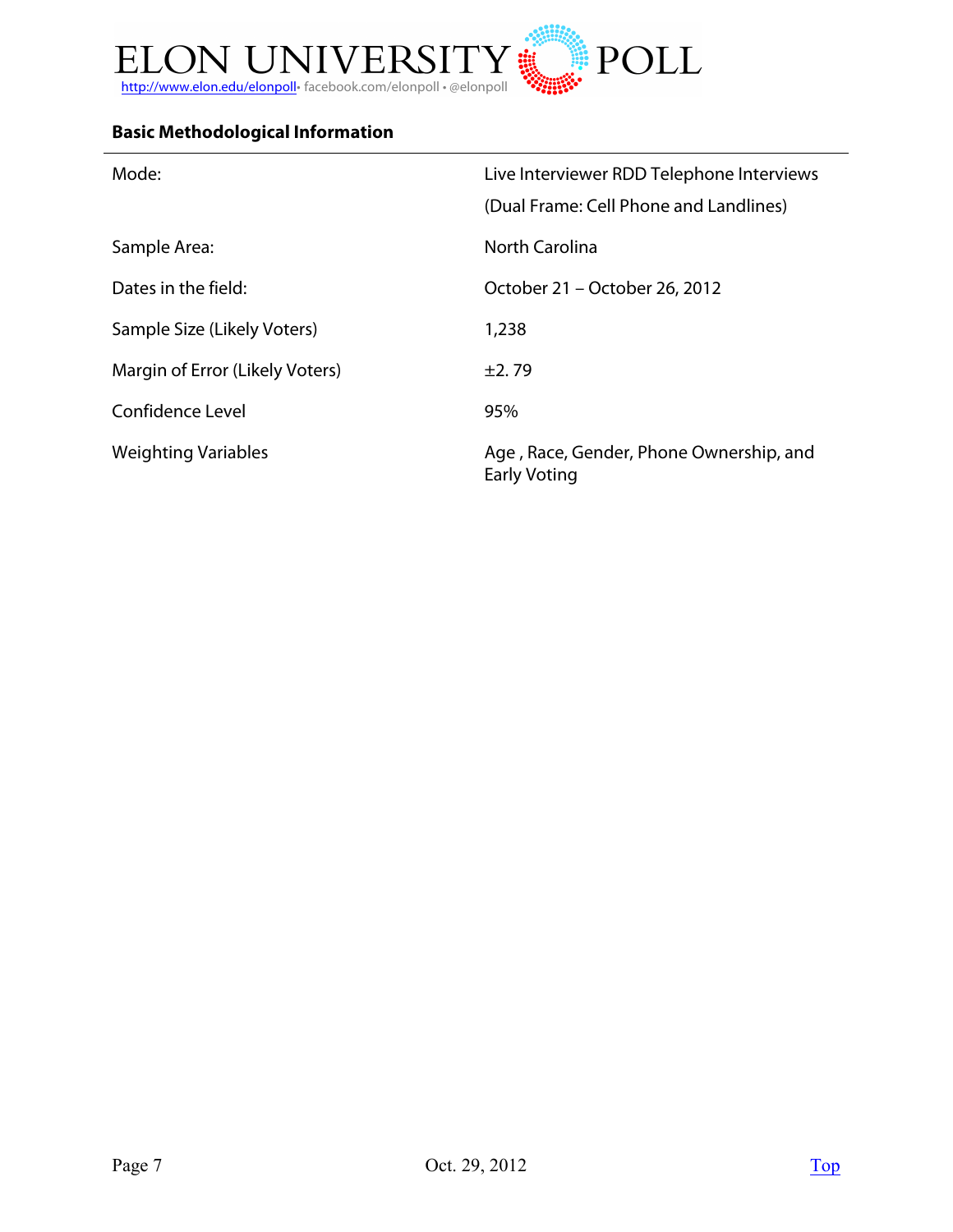

## **Basic Methodological Information**

| Mode:                           | Live Interviewer RDD Telephone Interviews                      |  |  |  |
|---------------------------------|----------------------------------------------------------------|--|--|--|
|                                 | (Dual Frame: Cell Phone and Landlines)                         |  |  |  |
| Sample Area:                    | <b>North Carolina</b>                                          |  |  |  |
| Dates in the field:             | October 21 - October 26, 2012                                  |  |  |  |
| Sample Size (Likely Voters)     | 1,238                                                          |  |  |  |
| Margin of Error (Likely Voters) | $\pm 2.79$                                                     |  |  |  |
| Confidence Level                | 95%                                                            |  |  |  |
| <b>Weighting Variables</b>      | Age, Race, Gender, Phone Ownership, and<br><b>Early Voting</b> |  |  |  |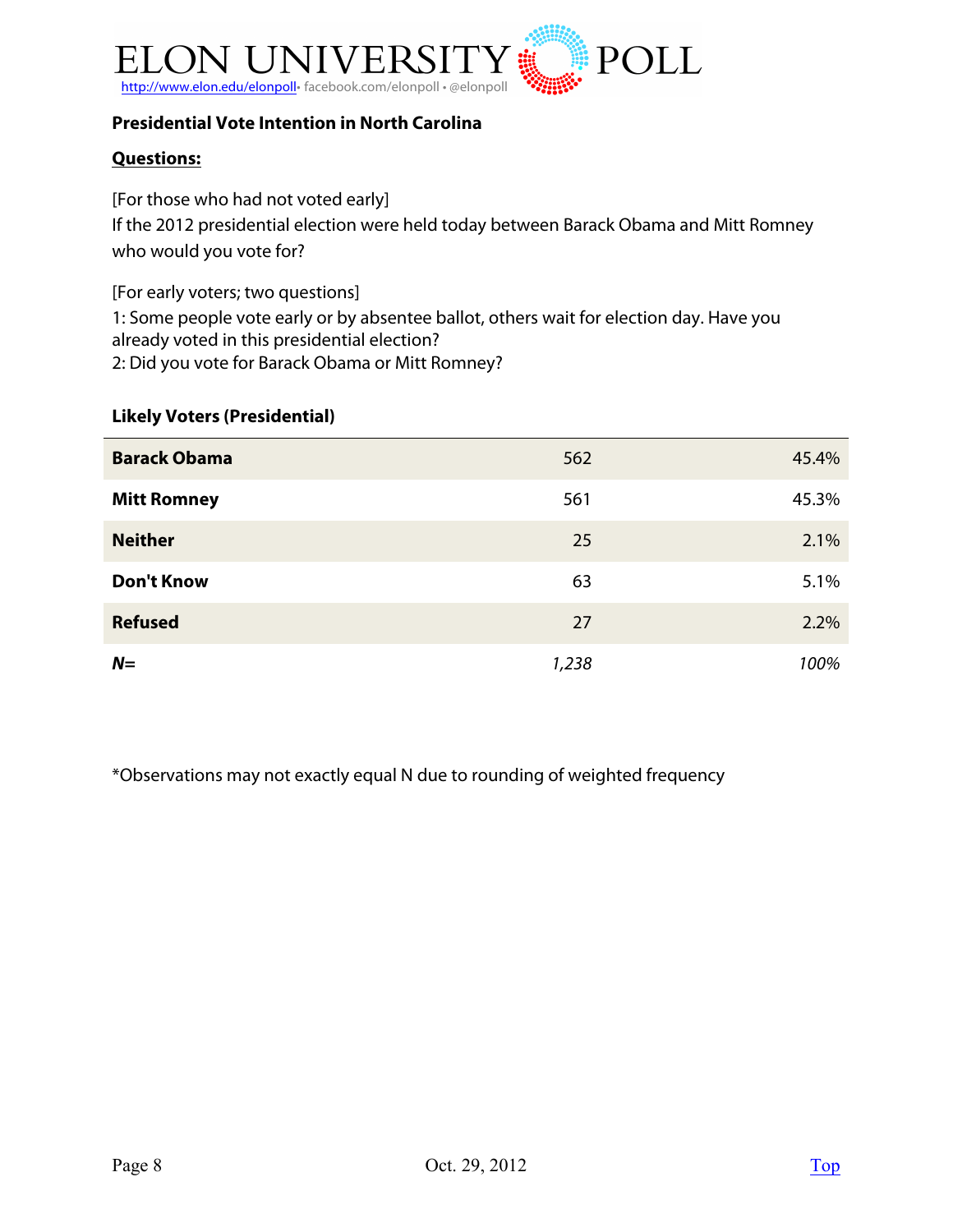

### **Presidential Vote Intention in North Carolina**

#### **Questions:**

[For those who had not voted early] If the 2012 presidential election were held today between Barack Obama and Mitt Romney who would you vote for?

[For early voters; two questions] 1: Some people vote early or by absentee ballot, others wait for election day. Have you already voted in this presidential election? 2: Did you vote for Barack Obama or Mitt Romney?

#### **Likely Voters (Presidential)**

| <b>Barack Obama</b> | 562   | 45.4% |
|---------------------|-------|-------|
| <b>Mitt Romney</b>  | 561   | 45.3% |
| <b>Neither</b>      | 25    | 2.1%  |
| <b>Don't Know</b>   | 63    | 5.1%  |
| <b>Refused</b>      | 27    | 2.2%  |
| $N=$                | 1,238 | 100%  |

\*Observations may not exactly equal N due to rounding of weighted frequency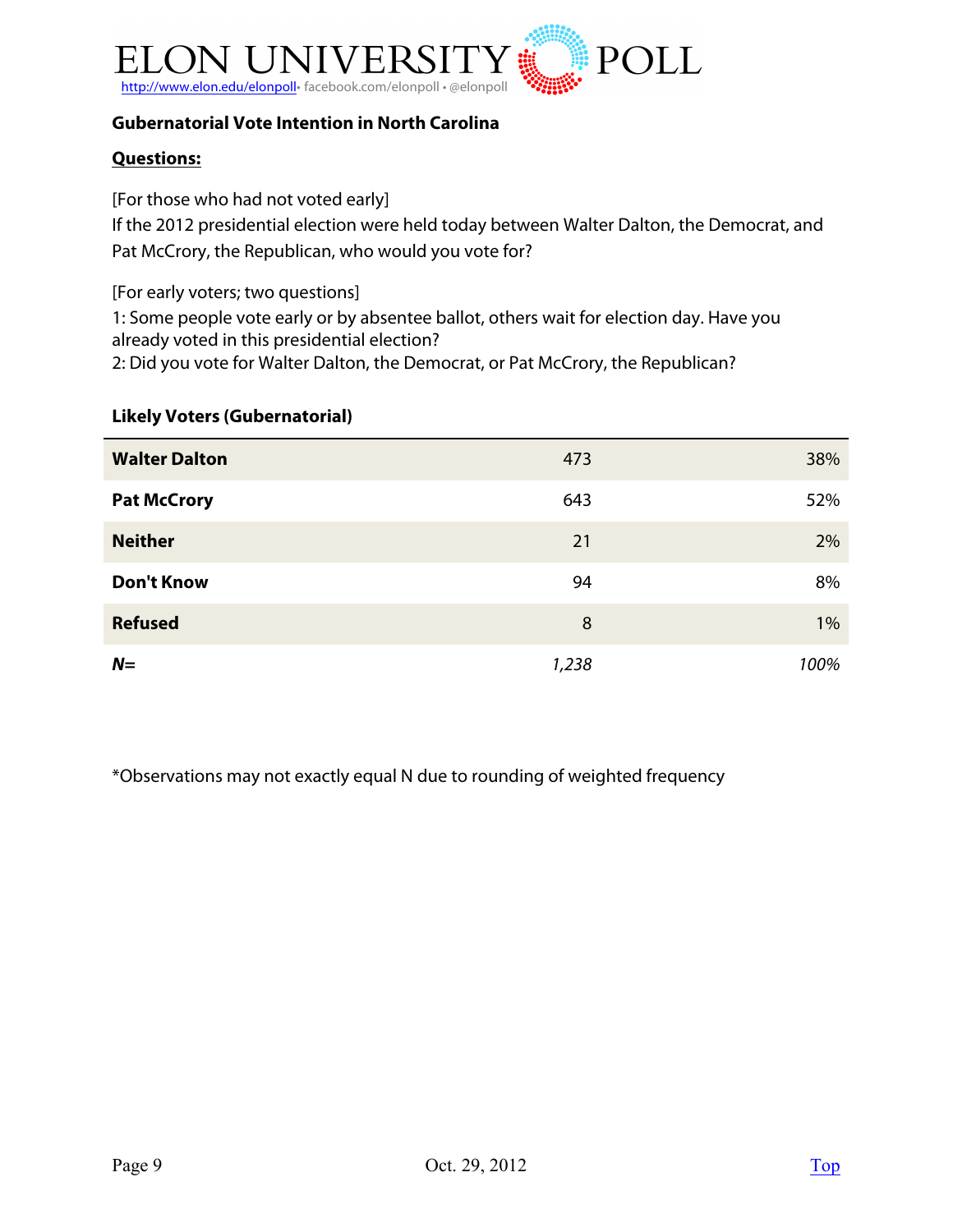

### **Gubernatorial Vote Intention in North Carolina**

#### **Questions:**

[For those who had not voted early]

If the 2012 presidential election were held today between Walter Dalton, the Democrat, and Pat McCrory, the Republican, who would you vote for?

[For early voters; two questions]

1: Some people vote early or by absentee ballot, others wait for election day. Have you already voted in this presidential election?

2: Did you vote for Walter Dalton, the Democrat, or Pat McCrory, the Republican?

### **Likely Voters (Gubernatorial)**

| <b>Walter Dalton</b> | 473   | 38%   |
|----------------------|-------|-------|
| <b>Pat McCrory</b>   | 643   | 52%   |
| <b>Neither</b>       | 21    | 2%    |
| <b>Don't Know</b>    | 94    | 8%    |
| <b>Refused</b>       | 8     | $1\%$ |
| $N=$                 | 1,238 | 100%  |

\*Observations may not exactly equal N due to rounding of weighted frequency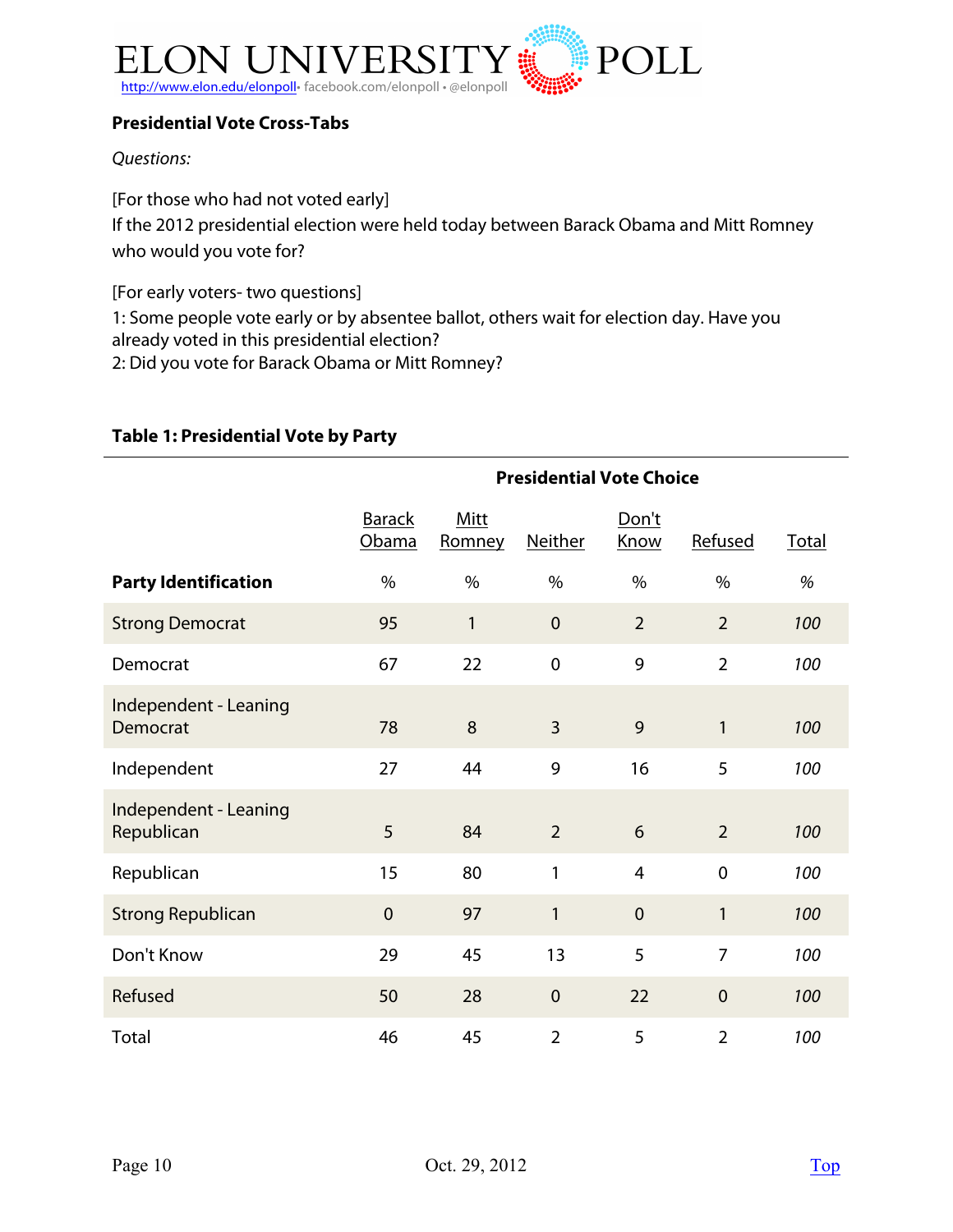

### **Presidential Vote Cross-Tabs**

*Questions:* 

[For those who had not voted early] If the 2012 presidential election were held today between Barack Obama and Mitt Romney who would you vote for?

[For early voters- two questions] 1: Some people vote early or by absentee ballot, others wait for election day. Have you already voted in this presidential election? 2: Did you vote for Barack Obama or Mitt Romney?

#### **Table 1: Presidential Vote by Party**

|                                     | <b>Presidential Vote Choice</b> |                |                |                |                |              |  |
|-------------------------------------|---------------------------------|----------------|----------------|----------------|----------------|--------------|--|
|                                     | <b>Barack</b><br>Obama          | Mitt<br>Romney | <b>Neither</b> | Don't<br>Know  | Refused        | <b>Total</b> |  |
| <b>Party Identification</b>         | $\%$                            | $\%$           | $\%$           | $\%$           | $\%$           | $\%$         |  |
| <b>Strong Democrat</b>              | 95                              | $\mathbf{1}$   | $\mathbf 0$    | $\overline{2}$ | $\overline{2}$ | 100          |  |
| Democrat                            | 67                              | 22             | $\mathbf 0$    | 9              | $\overline{2}$ | 100          |  |
| Independent - Leaning<br>Democrat   | 78                              | 8              | 3              | 9              | 1              | 100          |  |
| Independent                         | 27                              | 44             | 9              | 16             | 5              | 100          |  |
| Independent - Leaning<br>Republican | 5                               | 84             | $\overline{2}$ | 6              | $\overline{2}$ | 100          |  |
| Republican                          | 15                              | 80             | 1              | $\overline{4}$ | $\mathbf 0$    | 100          |  |
| <b>Strong Republican</b>            | $\mathbf 0$                     | 97             | $\mathbf{1}$   | $\mathbf 0$    | 1              | 100          |  |
| Don't Know                          | 29                              | 45             | 13             | 5              | $\overline{7}$ | 100          |  |
| Refused                             | 50                              | 28             | $\mathbf 0$    | 22             | $\mathbf 0$    | 100          |  |
| Total                               | 46                              | 45             | $\overline{2}$ | 5              | $\overline{2}$ | 100          |  |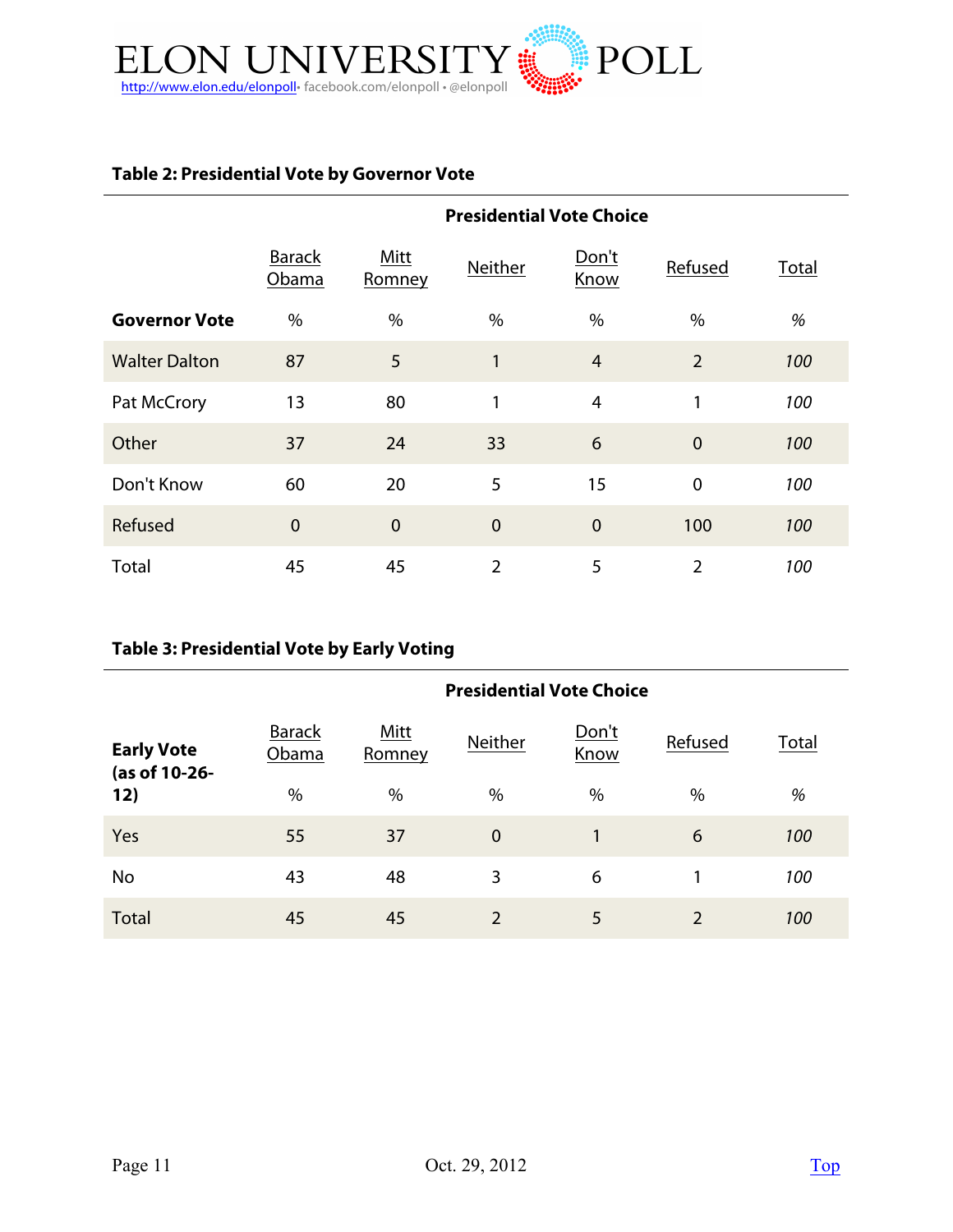

## **Table 2: Presidential Vote by Governor Vote**

|                      | <b>Presidential Vote Choice</b> |                       |                |                |                |       |  |
|----------------------|---------------------------------|-----------------------|----------------|----------------|----------------|-------|--|
|                      | <b>Barack</b><br>Obama          | <b>Mitt</b><br>Romney | Neither        | Don't<br>Know  | Refused        | Total |  |
| <b>Governor Vote</b> | $\%$                            | $\%$                  | $\%$           | $\%$           | $\%$           | %     |  |
| <b>Walter Dalton</b> | 87                              | 5                     | $\mathbf{1}$   | $\overline{4}$ | $\overline{2}$ | 100   |  |
| Pat McCrory          | 13                              | 80                    | 1              | 4              | 1              | 100   |  |
| Other                | 37                              | 24                    | 33             | 6              | $\mathbf 0$    | 100   |  |
| Don't Know           | 60                              | 20                    | 5              | 15             | $\overline{0}$ | 100   |  |
| Refused              | $\overline{0}$                  | $\overline{0}$        | $\overline{0}$ | $\overline{0}$ | 100            | 100   |  |
| Total                | 45                              | 45                    | $\overline{2}$ | 5              | $\overline{2}$ | 100   |  |

## **Table 3: Presidential Vote by Early Voting**

|                                    | <b>Presidential Vote Choice</b> |                |                |               |               |       |  |
|------------------------------------|---------------------------------|----------------|----------------|---------------|---------------|-------|--|
| <b>Early Vote</b><br>(as of 10-26- | <b>Barack</b><br>Obama          | Mitt<br>Romney | Neither        | Don't<br>Know | Refused       | Total |  |
| 12)                                | $\%$                            | %              | $\%$           | $\%$          | $\%$          | %     |  |
| Yes                                | 55                              | 37             | $\overline{0}$ |               | 6             | 100   |  |
| No                                 | 43                              | 48             | 3              | 6             |               | 100   |  |
| <b>Total</b>                       | 45                              | 45             | 2              | 5             | $\mathcal{P}$ | 100   |  |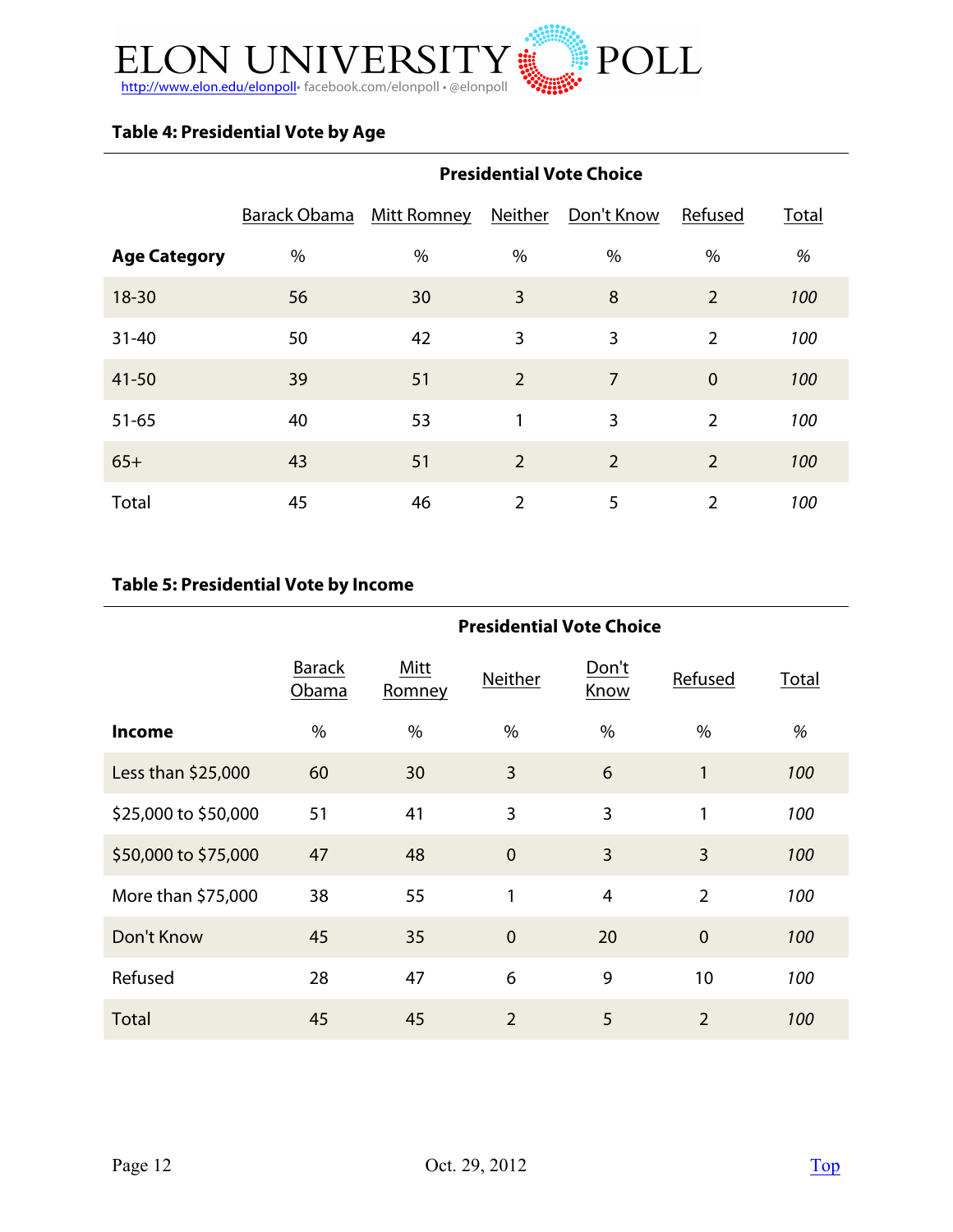

## **Table 4: Presidential Vote by Age**

|                     | <b>Presidential Vote Choice</b> |                    |                |                |                |              |  |  |
|---------------------|---------------------------------|--------------------|----------------|----------------|----------------|--------------|--|--|
|                     | Barack Obama                    | <b>Mitt Romney</b> | <b>Neither</b> | Don't Know     | Refused        | <b>Total</b> |  |  |
| <b>Age Category</b> | $\%$                            | $\%$               | $\%$           | $\%$           | $\%$           | %            |  |  |
| $18 - 30$           | 56                              | 30                 | 3              | 8              | $\overline{2}$ | 100          |  |  |
| $31 - 40$           | 50                              | 42                 | 3              | $\overline{3}$ | $\overline{2}$ | 100          |  |  |
| $41 - 50$           | 39                              | 51                 | $\overline{2}$ | $\overline{7}$ | $\overline{0}$ | 100          |  |  |
| $51 - 65$           | 40                              | 53                 | 1              | 3              | $\overline{2}$ | 100          |  |  |
| $65+$               | 43                              | 51                 | $\overline{2}$ | 2              | $\overline{2}$ | 100          |  |  |
| Total               | 45                              | 46                 | $\overline{2}$ | 5              | $\overline{2}$ | 100          |  |  |

## **Table 5: Presidential Vote by Income**

|                      | <b>Presidential Vote Choice</b> |                |                |                |                |       |
|----------------------|---------------------------------|----------------|----------------|----------------|----------------|-------|
|                      | <b>Barack</b><br>Obama          | Mitt<br>Romney | Neither        | Don't<br>Know  | Refused        | Total |
| <b>Income</b>        | $\%$                            | $\%$           | $\%$           | $\%$           | %              | %     |
| Less than \$25,000   | 60                              | 30             | 3              | 6              | 1              | 100   |
| \$25,000 to \$50,000 | 51                              | 41             | 3              | 3              | 1              | 100   |
| \$50,000 to \$75,000 | 47                              | 48             | $\overline{0}$ | 3              | 3              | 100   |
| More than \$75,000   | 38                              | 55             | 1              | $\overline{4}$ | $\overline{2}$ | 100   |
| Don't Know           | 45                              | 35             | $\overline{0}$ | 20             | $\mathbf 0$    | 100   |
| Refused              | 28                              | 47             | 6              | 9              | 10             | 100   |
| <b>Total</b>         | 45                              | 45             | $\overline{2}$ | 5              | $\overline{2}$ | 100   |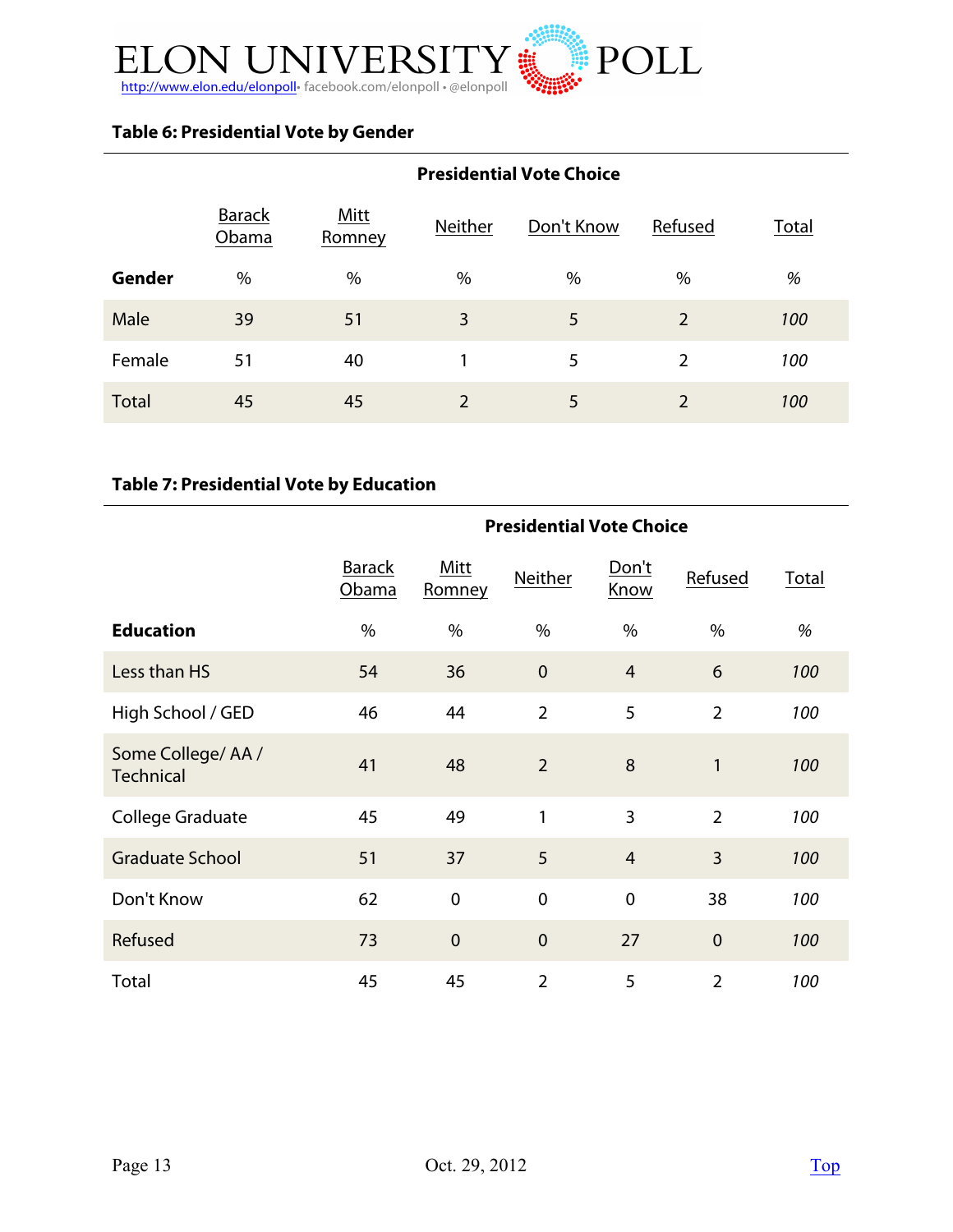

## **Table 6: Presidential Vote by Gender**

|               | <b>Presidential Vote Choice</b> |                       |         |            |               |       |  |  |  |
|---------------|---------------------------------|-----------------------|---------|------------|---------------|-------|--|--|--|
|               | <b>Barack</b><br>Obama          | <b>Mitt</b><br>Romney | Neither | Don't Know | Refused       | Total |  |  |  |
| <b>Gender</b> | $\%$                            | %                     | %       | %          | %             | %     |  |  |  |
| Male          | 39                              | 51                    | 3       | 5          | 2             | 100   |  |  |  |
| Female        | 51                              | 40                    |         | 5          | 2             | 100   |  |  |  |
| <b>Total</b>  | 45                              | 45                    | 2       | 5          | $\mathcal{P}$ | 100   |  |  |  |

## **Table 7: Presidential Vote by Education**

|                                      | <b>Presidential Vote Choice</b> |                |                |                |                |       |  |
|--------------------------------------|---------------------------------|----------------|----------------|----------------|----------------|-------|--|
|                                      | <b>Barack</b><br>Obama          | Mitt<br>Romney | Neither        | Don't<br>Know  | Refused        | Total |  |
| <b>Education</b>                     | $\%$                            | $\%$           | $\%$           | $\%$           | $\%$           | %     |  |
| Less than HS                         | 54                              | 36             | $\mathbf 0$    | $\overline{4}$ | 6              | 100   |  |
| High School / GED                    | 46                              | 44             | $\overline{2}$ | 5              | $\overline{2}$ | 100   |  |
| Some College/AA/<br><b>Technical</b> | 41                              | 48             | $\overline{2}$ | 8              | 1              | 100   |  |
| College Graduate                     | 45                              | 49             | 1              | 3              | $\overline{2}$ | 100   |  |
| <b>Graduate School</b>               | 51                              | 37             | 5              | $\overline{4}$ | 3              | 100   |  |
| Don't Know                           | 62                              | $\overline{0}$ | $\mathbf 0$    | $\mathbf 0$    | 38             | 100   |  |
| Refused                              | 73                              | $\mathbf 0$    | $\mathbf 0$    | 27             | $\mathbf 0$    | 100   |  |
| Total                                | 45                              | 45             | $\overline{2}$ | 5              | $\overline{2}$ | 100   |  |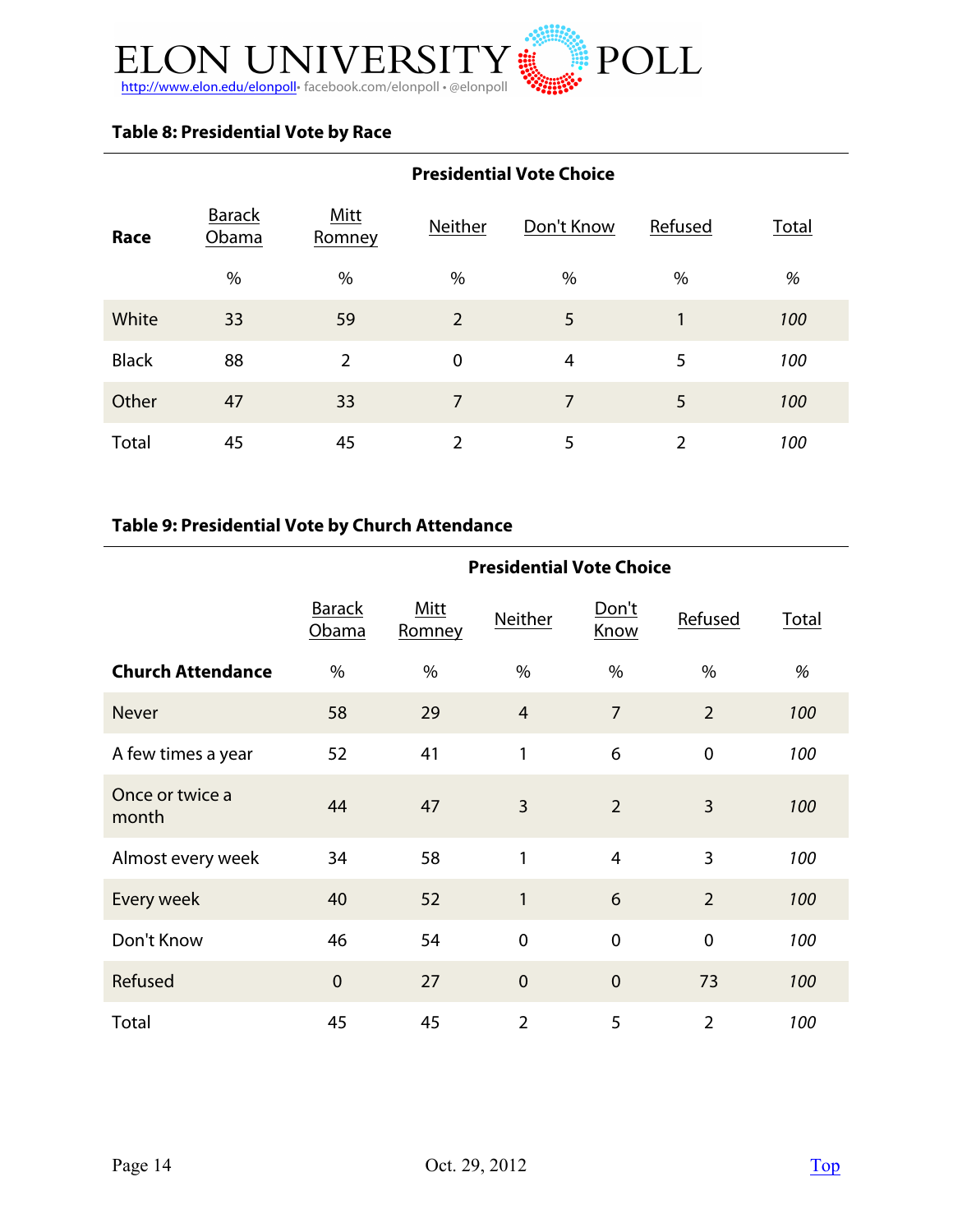

## **Table 8: Presidential Vote by Race**

|              | <b>Presidential Vote Choice</b> |                |                |                |                |              |  |  |  |
|--------------|---------------------------------|----------------|----------------|----------------|----------------|--------------|--|--|--|
| Race         | <b>Barack</b><br>Obama          | Mitt<br>Romney | Neither        | Don't Know     | Refused        | <b>Total</b> |  |  |  |
|              | $\%$                            | %              | $\%$           | $\%$           | $\%$           | %            |  |  |  |
| White        | 33                              | 59             | $\overline{2}$ | 5              | 1              | 100          |  |  |  |
| <b>Black</b> | 88                              | $\overline{2}$ | $\mathbf 0$    | $\overline{4}$ | 5              | 100          |  |  |  |
| Other        | 47                              | 33             | 7              | $\overline{7}$ | 5              | 100          |  |  |  |
| Total        | 45                              | 45             | 2              | 5              | $\overline{2}$ | 100          |  |  |  |

# **Table 9: Presidential Vote by Church Attendance**

|                          | <b>Barack</b><br>Obama | Mitt<br>Romney | Neither        | Don't<br>Know  | Refused        | Total |
|--------------------------|------------------------|----------------|----------------|----------------|----------------|-------|
| <b>Church Attendance</b> | $\%$                   | $\%$           | $\%$           | $\%$           | $\%$           | %     |
| <b>Never</b>             | 58                     | 29             | $\overline{4}$ | $\overline{7}$ | $\overline{2}$ | 100   |
| A few times a year       | 52                     | 41             | 1              | 6              | $\mathbf 0$    | 100   |
| Once or twice a<br>month | 44                     | 47             | 3              | $\overline{2}$ | 3              | 100   |
| Almost every week        | 34                     | 58             | 1              | $\overline{4}$ | 3              | 100   |
| Every week               | 40                     | 52             | 1              | 6              | $\overline{2}$ | 100   |
| Don't Know               | 46                     | 54             | $\mathbf 0$    | $\mathbf 0$    | $\mathbf 0$    | 100   |
| Refused                  | $\mathbf 0$            | 27             | $\mathbf 0$    | $\mathbf 0$    | 73             | 100   |
| Total                    | 45                     | 45             | $\overline{2}$ | 5              | $\overline{2}$ | 100   |

#### **Presidential Vote Choice**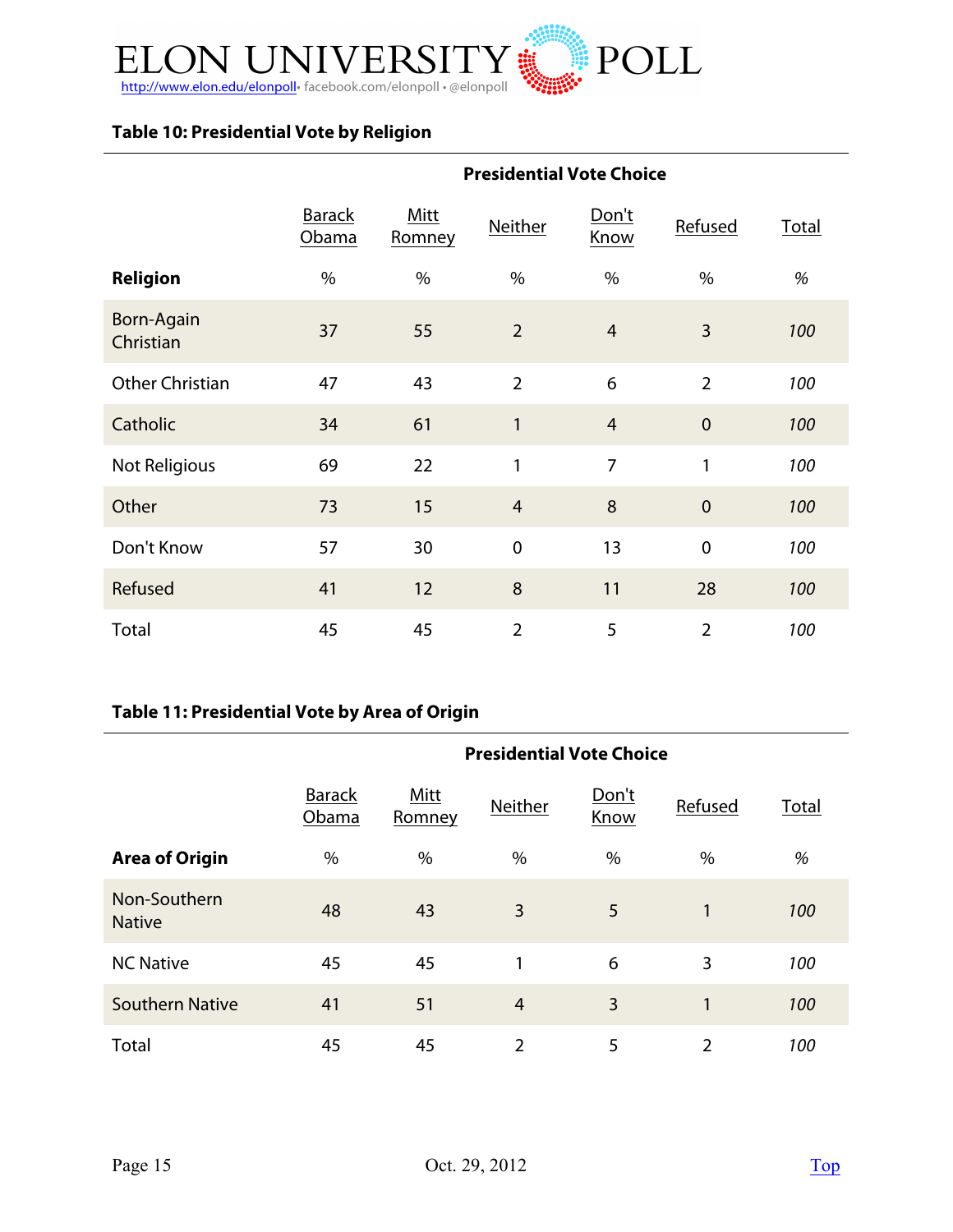

## **Table 10: Presidential Vote by Religion**

|                         | <b>Barack</b><br>Obama | <b>Mitt</b><br>Romney | Neither        | Don't<br>Know  | Refused        | Total |
|-------------------------|------------------------|-----------------------|----------------|----------------|----------------|-------|
| <b>Religion</b>         | $\%$                   | $\%$                  | $\%$           | $\%$           | $\%$           | $\%$  |
| Born-Again<br>Christian | 37                     | 55                    | $\overline{2}$ | $\overline{4}$ | 3              | 100   |
| <b>Other Christian</b>  | 47                     | 43                    | $\overline{2}$ | 6              | $\overline{2}$ | 100   |
| Catholic                | 34                     | 61                    | 1              | $\overline{4}$ | $\mathbf 0$    | 100   |
| Not Religious           | 69                     | 22                    | $\mathbf{1}$   | $\overline{7}$ | $\mathbf{1}$   | 100   |
| Other                   | 73                     | 15                    | $\overline{4}$ | 8              | $\mathbf 0$    | 100   |
| Don't Know              | 57                     | 30                    | $\overline{0}$ | 13             | $\mathbf 0$    | 100   |
| Refused                 | 41                     | 12                    | 8              | 11             | 28             | 100   |
| Total                   | 45                     | 45                    | $\overline{2}$ | 5              | $\overline{2}$ | 100   |

## **Presidential Vote Choice**

## **Table 11: Presidential Vote by Area of Origin**

|                               | <b>Presidential Vote Choice</b> |                |                |                |         |       |  |  |  |
|-------------------------------|---------------------------------|----------------|----------------|----------------|---------|-------|--|--|--|
|                               | <b>Barack</b><br>Obama          | Mitt<br>Romney | Neither        | Don't<br>Know  | Refused | Total |  |  |  |
| <b>Area of Origin</b>         | $\%$                            | %              | $\%$           | $\%$           | %       | %     |  |  |  |
| Non-Southern<br><b>Native</b> | 48                              | 43             | 3              | 5 <sup>5</sup> | 1       | 100   |  |  |  |
| <b>NC Native</b>              | 45                              | 45             | 1              | 6              | 3       | 100   |  |  |  |
| <b>Southern Native</b>        | 41                              | 51             | $\overline{4}$ | 3              | 1       | 100   |  |  |  |
| Total                         | 45                              | 45             | $\overline{2}$ | 5              | 2       | 100   |  |  |  |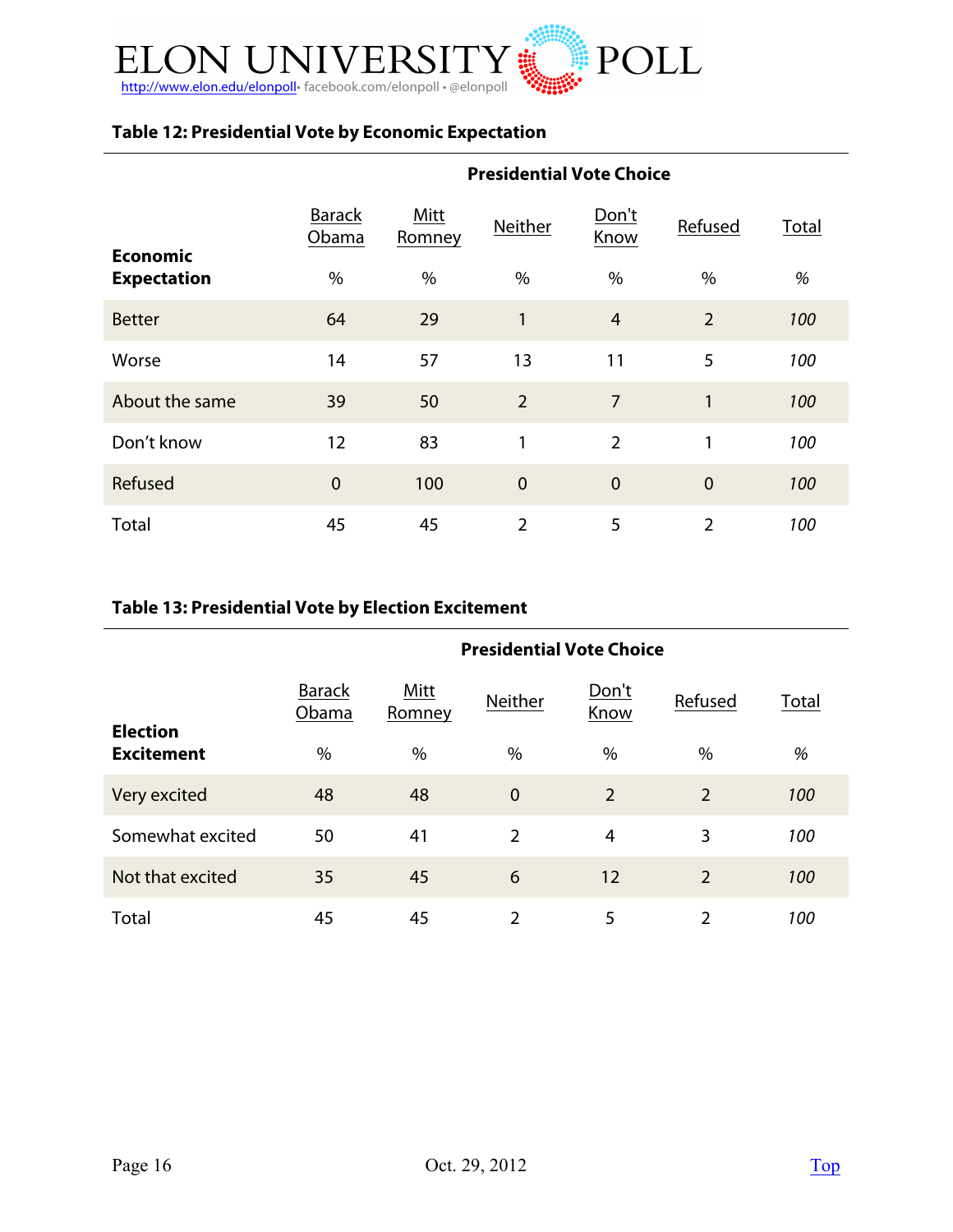

## **Table 12: Presidential Vote by Economic Expectation**

| <b>Economic</b>    | <b>Barack</b><br>Obama | Mitt<br>Romney | Neither        | Don't<br>Know  | Refused        | Total |
|--------------------|------------------------|----------------|----------------|----------------|----------------|-------|
| <b>Expectation</b> | $\%$                   | $\%$           | $\%$           | $\%$           | $\%$           | %     |
| <b>Better</b>      | 64                     | 29             | 1              | $\overline{4}$ | $\overline{2}$ | 100   |
| Worse              | 14                     | 57             | 13             | 11             | 5              | 100   |
| About the same     | 39                     | 50             | $\overline{2}$ | $\overline{7}$ | 1              | 100   |
| Don't know         | 12                     | 83             | 1              | $\overline{2}$ | 1              | 100   |
| Refused            | $\overline{0}$         | 100            | $\overline{0}$ | $\overline{0}$ | $\overline{0}$ | 100   |
| Total              | 45                     | 45             | $\overline{2}$ | 5              | $\overline{2}$ | 100   |

## **Presidential Vote Choice**

## **Table 13: Presidential Vote by Election Excitement**

|                   | <b>Presidential Vote Choice</b> |                |                |                |         |       |  |  |  |
|-------------------|---------------------------------|----------------|----------------|----------------|---------|-------|--|--|--|
| <b>Election</b>   | <b>Barack</b><br>Obama          | Mitt<br>Romney | Neither        | Don't<br>Know  | Refused | Total |  |  |  |
| <b>Excitement</b> | $\%$                            | $\%$           | $\%$           | $\%$           | $\%$    | %     |  |  |  |
| Very excited      | 48                              | 48             | $\overline{0}$ | $\overline{2}$ | 2       | 100   |  |  |  |
| Somewhat excited  | 50                              | 41             | 2              | 4              | 3       | 100   |  |  |  |
| Not that excited  | 35                              | 45             | 6              | 12             | 2       | 100   |  |  |  |
| <b>Total</b>      | 45                              | 45             | 2              | 5              | 2       | 100   |  |  |  |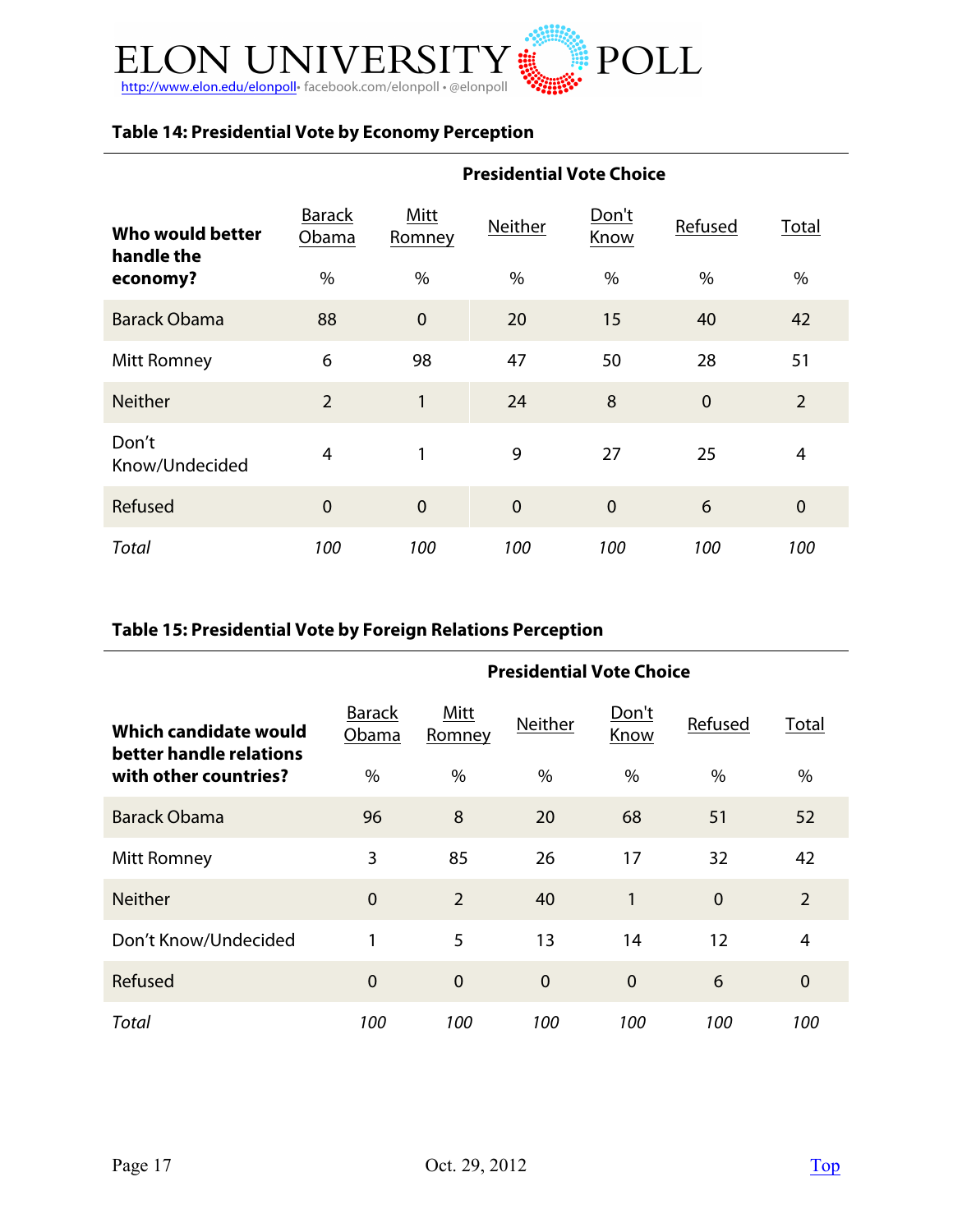

## **Table 14: Presidential Vote by Economy Perception**

| Who would better<br>handle the | <b>Barack</b><br>Obama | Mitt<br>Romney | Neither        | Don't<br>Know  | Refused     | Total          |  |
|--------------------------------|------------------------|----------------|----------------|----------------|-------------|----------------|--|
| economy?                       | $\%$                   | $\%$           | $\%$           | $\%$           | $\%$        | %              |  |
| <b>Barack Obama</b>            | 88                     | $\mathbf 0$    | 20             | 15             | 40          | 42             |  |
| <b>Mitt Romney</b>             | 6                      | 98             | 47             | 50             | 28          | 51             |  |
| <b>Neither</b>                 | $\overline{2}$         | 1              | 24             | 8              | $\mathbf 0$ | $\overline{2}$ |  |
| Don't<br>Know/Undecided        | 4                      | 1              | 9              | 27             | 25          | 4              |  |
| Refused                        | $\overline{0}$         | $\overline{0}$ | $\overline{0}$ | $\overline{0}$ | 6           | $\overline{0}$ |  |
| Total                          | 100                    | 100            | 100            | 100            | 100         | 100            |  |

## **Presidential Vote Choice**

## **Table 15: Presidential Vote by Foreign Relations Perception**

|                                                  | <b>Presidential Vote Choice</b> |                |             |                |                |                |  |
|--------------------------------------------------|---------------------------------|----------------|-------------|----------------|----------------|----------------|--|
| Which candidate would<br>better handle relations | <b>Barack</b><br>Obama          | Mitt<br>Romney | Neither     | Don't<br>Know  | Refused        | Total          |  |
| with other countries?                            | $\%$                            | $\%$           | $\%$        | $\%$           | $\%$           | %              |  |
| <b>Barack Obama</b>                              | 96                              | 8              | 20          | 68             | 51             | 52             |  |
| Mitt Romney                                      | 3                               | 85             | 26          | 17             | 32             | 42             |  |
| <b>Neither</b>                                   | $\overline{0}$                  | $\overline{2}$ | 40          | 1              | $\overline{0}$ | $\overline{2}$ |  |
| Don't Know/Undecided                             | 1                               | 5              | 13          | 14             | 12             | $\overline{4}$ |  |
| Refused                                          | $\mathbf 0$                     | $\mathbf 0$    | $\mathbf 0$ | $\overline{0}$ | 6              | $\mathbf 0$    |  |
| Total                                            | 100                             | 100            | 100         | 100            | 100            | 100            |  |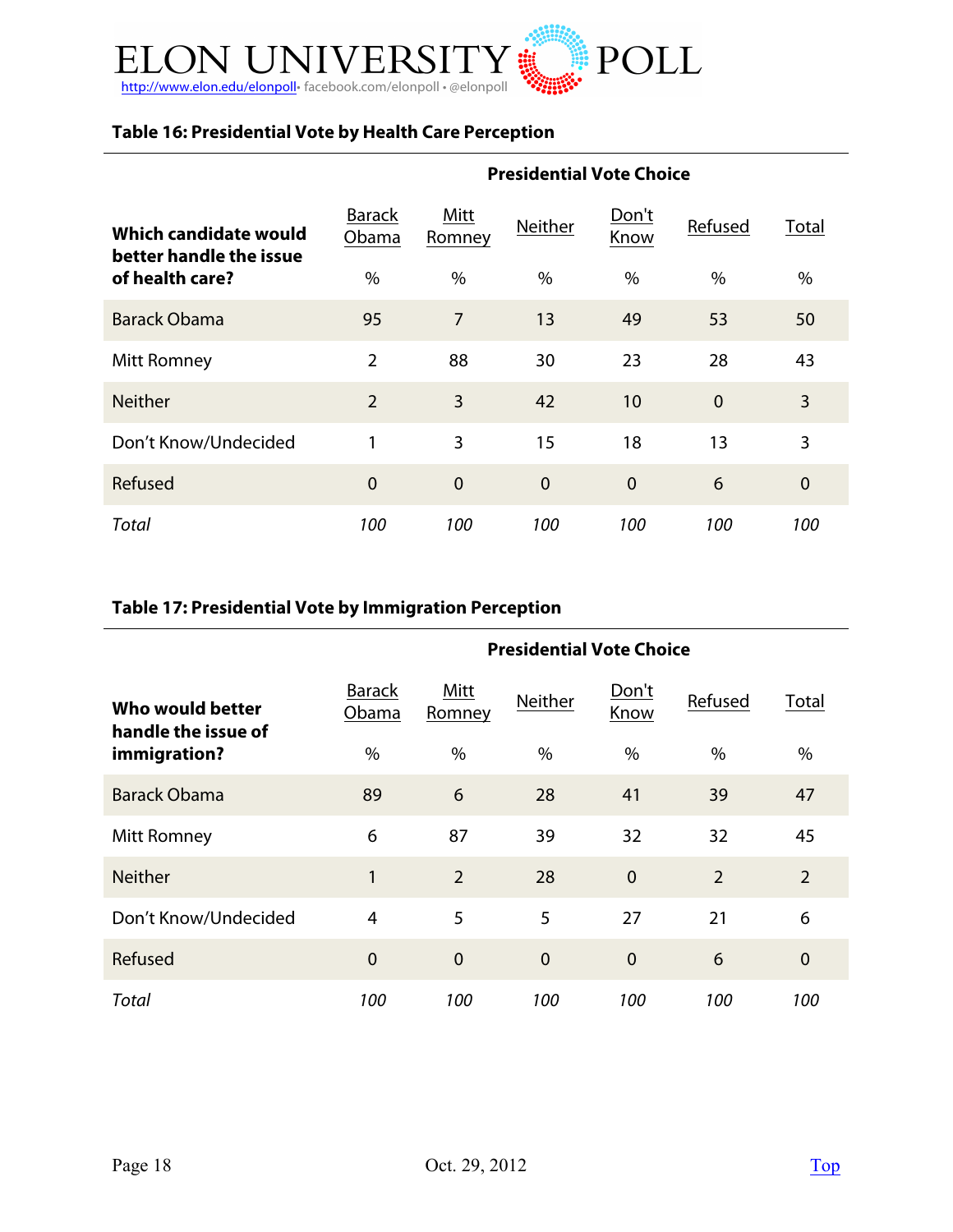

### **Table 16: Presidential Vote by Health Care Perception**

|                                                  | <b>Presidential Vote Choice</b> |                |             |               |                |             |  |  |
|--------------------------------------------------|---------------------------------|----------------|-------------|---------------|----------------|-------------|--|--|
| Which candidate would<br>better handle the issue | <b>Barack</b><br>Obama          | Mitt<br>Romney | Neither     | Don't<br>Know | Refused        | Total       |  |  |
| of health care?                                  | $\%$                            | $\%$           | $\%$        | $\%$          | $\%$           | $\%$        |  |  |
| <b>Barack Obama</b>                              | 95                              | $\overline{7}$ | 13          | 49            | 53             | 50          |  |  |
| Mitt Romney                                      | $\overline{2}$                  | 88             | 30          | 23            | 28             | 43          |  |  |
| <b>Neither</b>                                   | $\overline{2}$                  | 3              | 42          | 10            | $\overline{0}$ | 3           |  |  |
| Don't Know/Undecided                             | 1                               | 3              | 15          | 18            | 13             | 3           |  |  |
| Refused                                          | $\mathbf 0$                     | $\overline{0}$ | $\mathbf 0$ | $\mathbf 0$   | 6              | $\mathbf 0$ |  |  |
| Total                                            | 100                             | 100            | 100         | 100           | 100            | 100         |  |  |

### **Table 17: Presidential Vote by Immigration Perception**

|                                         | <b>Presidential Vote Choice</b> |                |             |                |                |                |  |
|-----------------------------------------|---------------------------------|----------------|-------------|----------------|----------------|----------------|--|
| Who would better<br>handle the issue of | <b>Barack</b><br>Obama          | Mitt<br>Romney | Neither     | Don't<br>Know  | Refused        | Total          |  |
| immigration?                            | $\%$                            | $\%$           | $\%$        | $\%$           | $\%$           | $\%$           |  |
| <b>Barack Obama</b>                     | 89                              | 6              | 28          | 41             | 39             | 47             |  |
| Mitt Romney                             | 6                               | 87             | 39          | 32             | 32             | 45             |  |
| <b>Neither</b>                          | 1                               | $\overline{2}$ | 28          | $\overline{0}$ | $\overline{2}$ | $\overline{2}$ |  |
| Don't Know/Undecided                    | $\overline{4}$                  | 5              | 5           | 27             | 21             | 6              |  |
| Refused                                 | $\mathbf 0$                     | $\mathbf 0$    | $\mathbf 0$ | $\mathbf 0$    | 6              | $\mathbf 0$    |  |
| Total                                   | 100                             | 100            | 100         | 100            | 100            | 100            |  |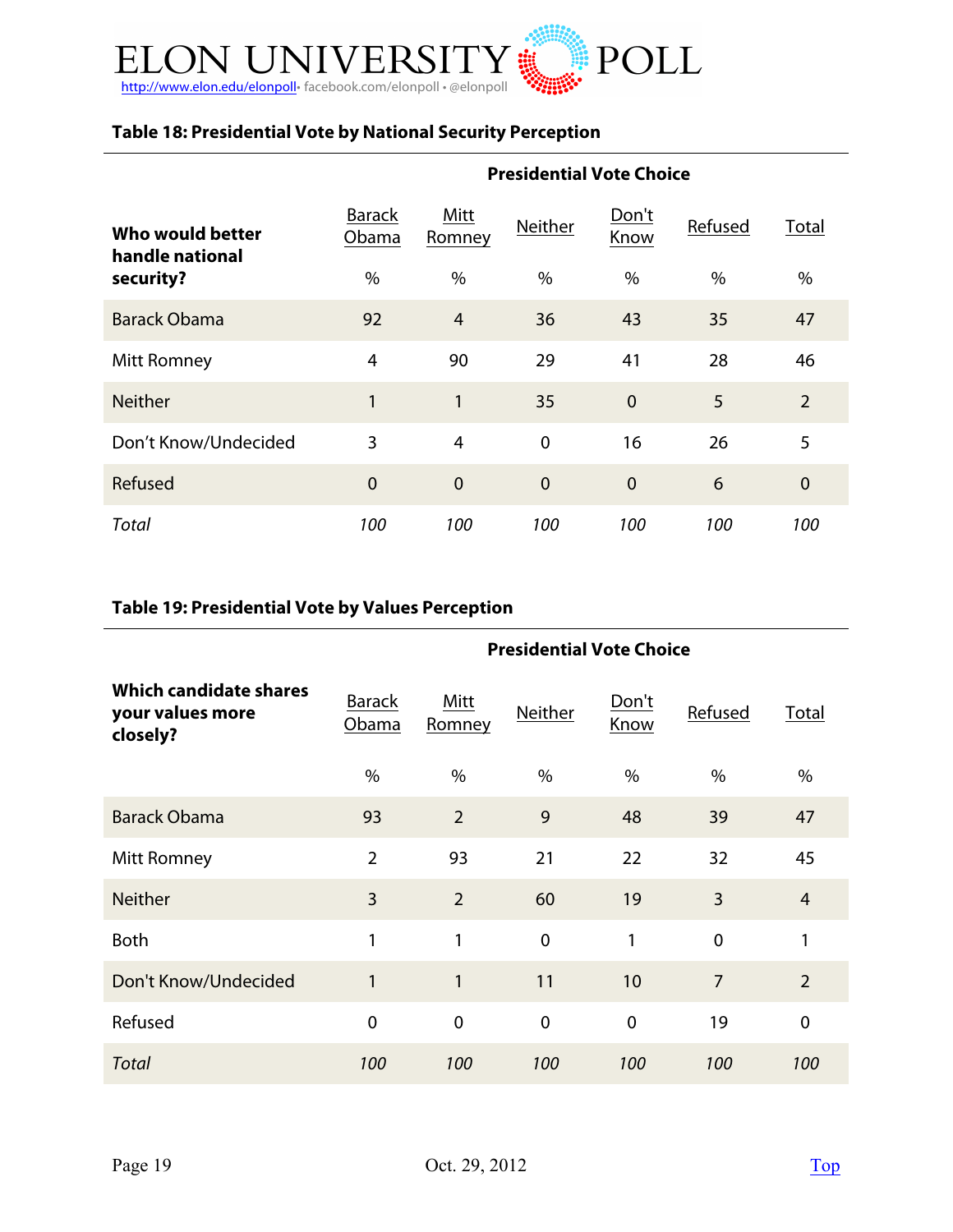

## **Table 18: Presidential Vote by National Security Perception**

| Who would better<br>handle national<br>security? | <b>Barack</b><br>Obama<br>$\%$ | Mitt<br>Romney<br>$\%$ | Neither<br>$\%$ | Don't<br>Know<br>$\%$ | Refused<br>$\%$ | Total<br>%     |
|--------------------------------------------------|--------------------------------|------------------------|-----------------|-----------------------|-----------------|----------------|
| <b>Barack Obama</b>                              | 92                             | $\overline{4}$         | 36              | 43                    | 35              | 47             |
| Mitt Romney                                      | 4                              | 90                     | 29              | 41                    | 28              | 46             |
| <b>Neither</b>                                   | 1                              | 1                      | 35              | $\overline{0}$        | 5               | $\overline{2}$ |
| Don't Know/Undecided                             | 3                              | $\overline{4}$         | $\mathbf 0$     | 16                    | 26              | 5              |
| Refused                                          | $\overline{0}$                 | $\overline{0}$         | $\mathbf 0$     | $\overline{0}$        | 6               | $\mathbf 0$    |
| Total                                            | 100                            | 100                    | 100             | 100                   | 100             | 100            |

## **Presidential Vote Choice**

## **Table 19: Presidential Vote by Values Perception**

|                                                        | <b>Presidential Vote Choice</b> |                |                |               |                |                |
|--------------------------------------------------------|---------------------------------|----------------|----------------|---------------|----------------|----------------|
| Which candidate shares<br>your values more<br>closely? | <b>Barack</b><br>Obama          | Mitt<br>Romney | Neither        | Don't<br>Know | Refused        | Total          |
|                                                        | $\%$                            | $\%$           | $\%$           | $\%$          | $\%$           | $\%$           |
| <b>Barack Obama</b>                                    | 93                              | $\overline{2}$ | 9              | 48            | 39             | 47             |
| Mitt Romney                                            | $\overline{2}$                  | 93             | 21             | 22            | 32             | 45             |
| <b>Neither</b>                                         | $\overline{3}$                  | $\overline{2}$ | 60             | 19            | 3              | $\overline{4}$ |
| <b>Both</b>                                            | 1                               | 1              | $\mathbf 0$    | 1             | $\overline{0}$ | 1              |
| Don't Know/Undecided                                   | 1                               | 1              | 11             | 10            | $\overline{7}$ | $\overline{2}$ |
| Refused                                                | $\overline{0}$                  | $\mathbf 0$    | $\overline{0}$ | $\mathbf 0$   | 19             | $\overline{0}$ |
| <b>Total</b>                                           | 100                             | 100            | 100            | 100           | 100            | 100            |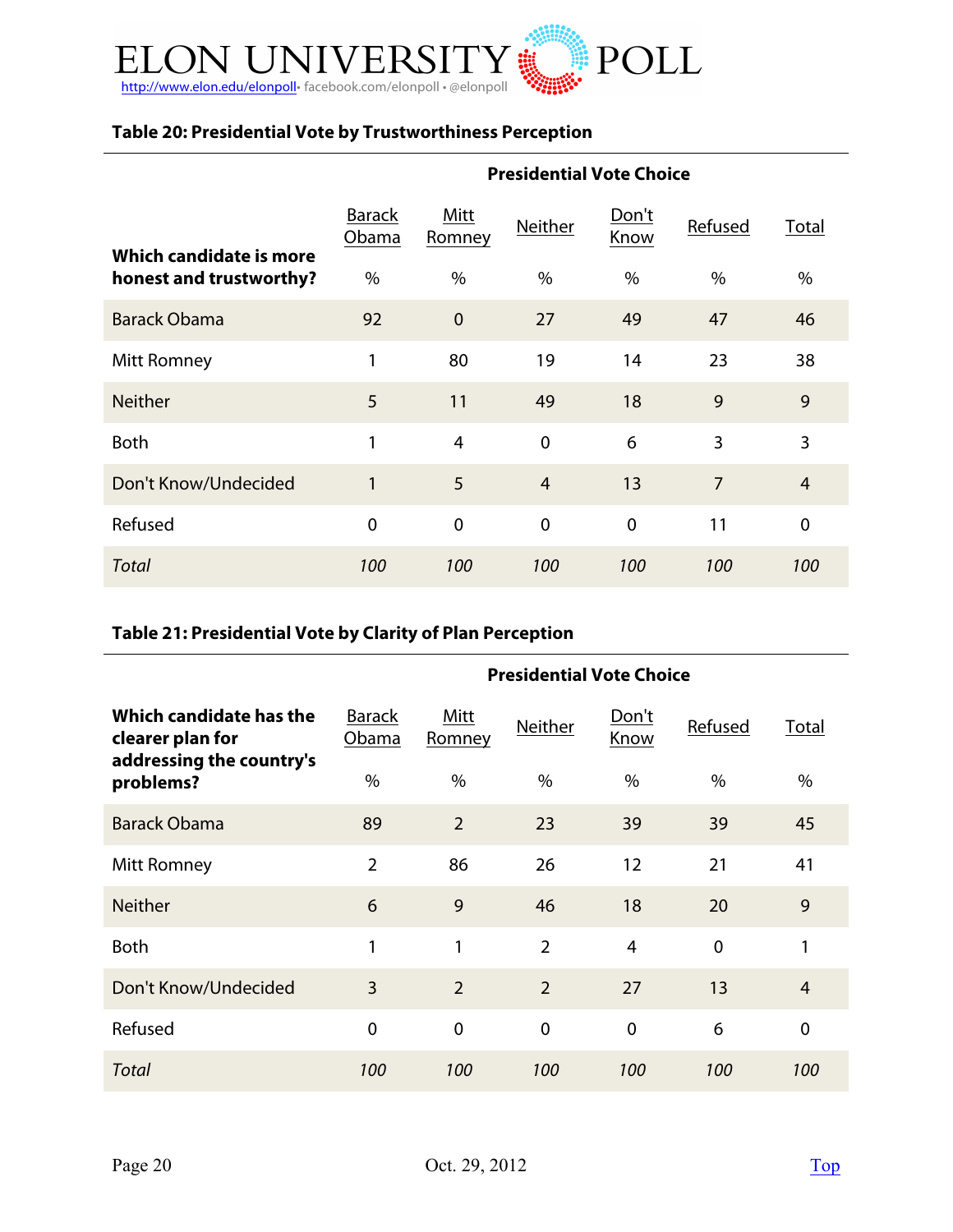

## **Table 20: Presidential Vote by Trustworthiness Perception**

| Which candidate is more<br>honest and trustworthy? | <b>Barack</b><br>Obama<br>% | Mitt<br>Romney<br>$\%$ | Neither<br>$\%$ | Don't<br>Know<br>$\%$ | Refused<br>$\%$ | Total<br>$\%$  |
|----------------------------------------------------|-----------------------------|------------------------|-----------------|-----------------------|-----------------|----------------|
| <b>Barack Obama</b>                                | 92                          | $\mathbf 0$            | 27              | 49                    | 47              | 46             |
| Mitt Romney                                        | 1                           | 80                     | 19              | 14                    | 23              | 38             |
| <b>Neither</b>                                     | 5                           | 11                     | 49              | 18                    | 9               | 9              |
| <b>Both</b>                                        | 1                           | $\overline{4}$         | $\overline{0}$  | 6                     | 3               | 3              |
| Don't Know/Undecided                               | 1                           | 5                      | $\overline{4}$  | 13                    | $\overline{7}$  | $\overline{4}$ |
| Refused                                            | $\overline{0}$              | $\overline{0}$         | $\overline{0}$  | $\mathbf 0$           | 11              | $\mathbf 0$    |
| <b>Total</b>                                       | 100                         | 100                    | 100             | 100                   | 100             | 100            |

## **Presidential Vote Choice**

### **Table 21: Presidential Vote by Clarity of Plan Perception**

|                                                                         | <b>Presidential Vote Choice</b> |                |                |                |                |                |
|-------------------------------------------------------------------------|---------------------------------|----------------|----------------|----------------|----------------|----------------|
| Which candidate has the<br>clearer plan for<br>addressing the country's | <b>Barack</b><br>Obama          | Mitt<br>Romney | Neither        | Don't<br>Know  | Refused        | Total          |
| problems?                                                               | $\%$                            | $\%$           | $\%$           | $\%$           | $\%$           | $\%$           |
| <b>Barack Obama</b>                                                     | 89                              | $\overline{2}$ | 23             | 39             | 39             | 45             |
| Mitt Romney                                                             | $\overline{2}$                  | 86             | 26             | 12             | 21             | 41             |
| <b>Neither</b>                                                          | 6                               | 9              | 46             | 18             | 20             | 9              |
| <b>Both</b>                                                             | 1                               | 1              | $\overline{2}$ | $\overline{4}$ | $\overline{0}$ | 1              |
| Don't Know/Undecided                                                    | 3                               | $\overline{2}$ | $\overline{2}$ | 27             | 13             | $\overline{4}$ |
| Refused                                                                 | $\mathbf 0$                     | $\mathbf 0$    | $\mathbf 0$    | $\mathbf 0$    | 6              | $\mathbf 0$    |
| <b>Total</b>                                                            | <i>100</i>                      | 100            | 100            | 100            | 100            | 100            |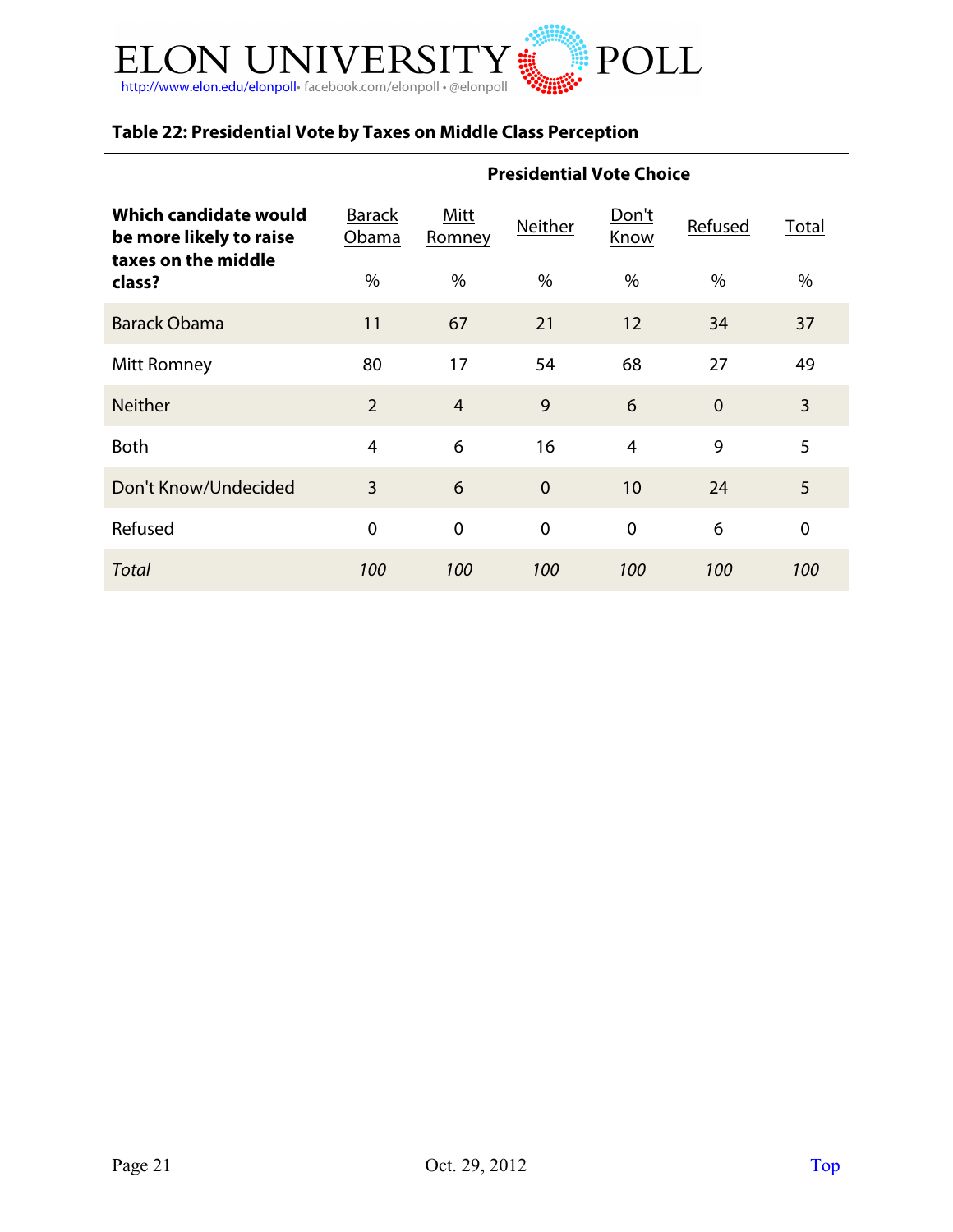

## **Table 22: Presidential Vote by Taxes on Middle Class Perception**

| Which candidate would<br>be more likely to raise<br>taxes on the middle | <b>Barack</b><br>Obama | Mitt<br>Romney | Neither        | Don't<br>Know  | Refused        | Total          |  |
|-------------------------------------------------------------------------|------------------------|----------------|----------------|----------------|----------------|----------------|--|
| class?                                                                  | $\%$                   | $\%$           | %              | $\%$           | $\%$           | %              |  |
| <b>Barack Obama</b>                                                     | 11                     | 67             | 21             | 12             | 34             | 37             |  |
| Mitt Romney                                                             | 80                     | 17             | 54             | 68             | 27             | 49             |  |
| <b>Neither</b>                                                          | $\overline{2}$         | $\overline{4}$ | 9              | 6              | $\overline{0}$ | 3              |  |
| <b>Both</b>                                                             | 4                      | 6              | 16             | $\overline{4}$ | 9              | 5              |  |
| Don't Know/Undecided                                                    | 3                      | 6              | $\overline{0}$ | 10             | 24             | 5              |  |
| Refused                                                                 | $\overline{0}$         | $\overline{0}$ | $\overline{0}$ | $\overline{0}$ | 6              | $\overline{0}$ |  |
| <b>Total</b>                                                            | 100                    | 100            | 100            | 100            | 100            | <i>100</i>     |  |

## **Presidential Vote Choice**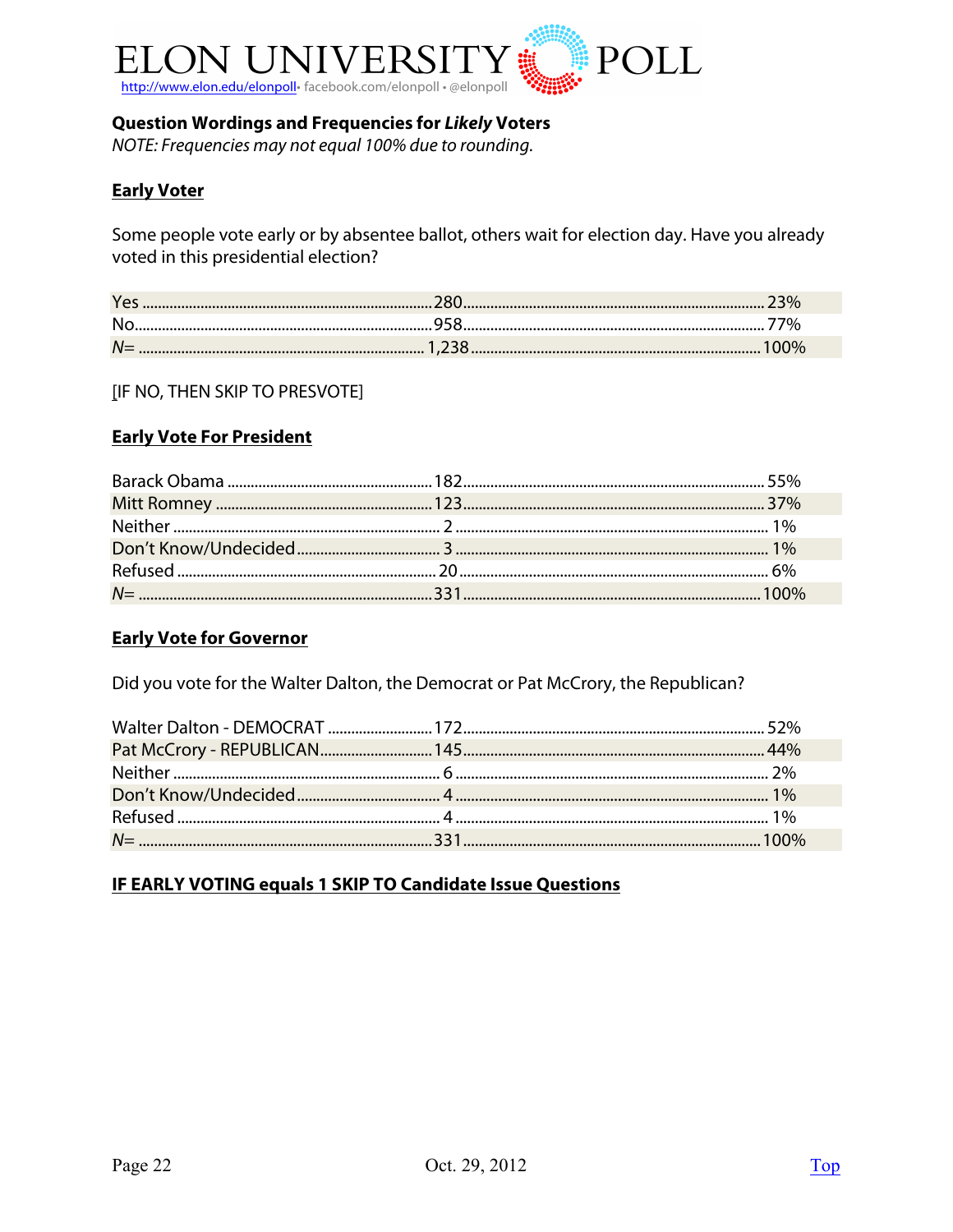

## **Question Wordings and Frequencies for Likely Voters**

NOTE: Frequencies may not equal 100% due to rounding.

#### **Early Voter**

Some people vote early or by absentee ballot, others wait for election day. Have you already voted in this presidential election?

[IF NO, THEN SKIP TO PRESVOTE]

#### **Early Vote For President**

#### **Early Vote for Governor**

Did you vote for the Walter Dalton, the Democrat or Pat McCrory, the Republican?

#### **IF EARLY VOTING equals 1 SKIP TO Candidate Issue Questions**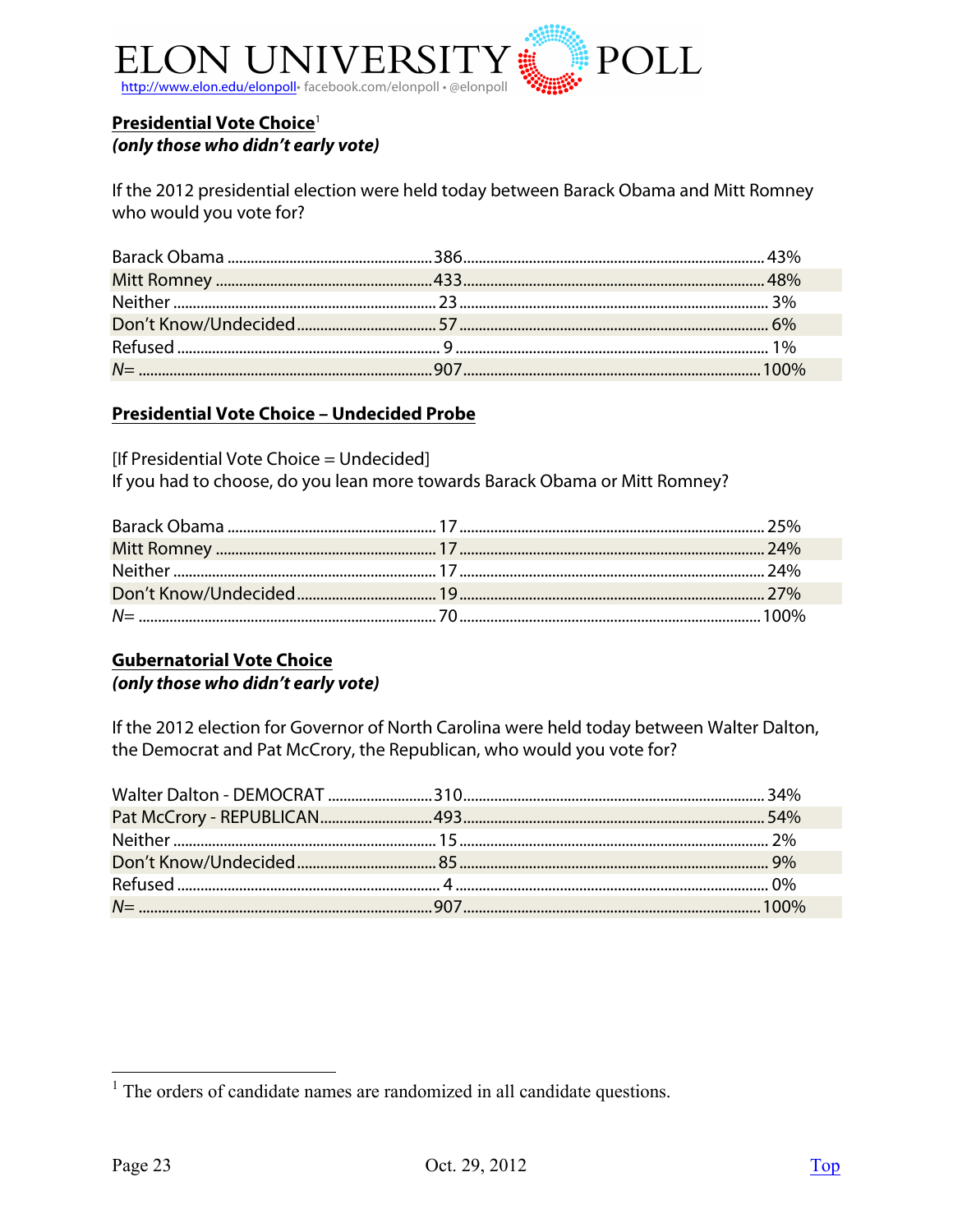

## Presidential Vote Choice<sup>1</sup> (only those who didn't early vote)

If the 2012 presidential election were held today between Barack Obama and Mitt Romney who would you vote for?

### **Presidential Vote Choice - Undecided Probe**

[If Presidential Vote Choice = Undecided] If you had to choose, do you lean more towards Barack Obama or Mitt Romney?

#### **Gubernatorial Vote Choice** (only those who didn't early vote)

If the 2012 election for Governor of North Carolina were held today between Walter Dalton, the Democrat and Pat McCrory, the Republican, who would you vote for?

 $1$  The orders of candidate names are randomized in all candidate questions.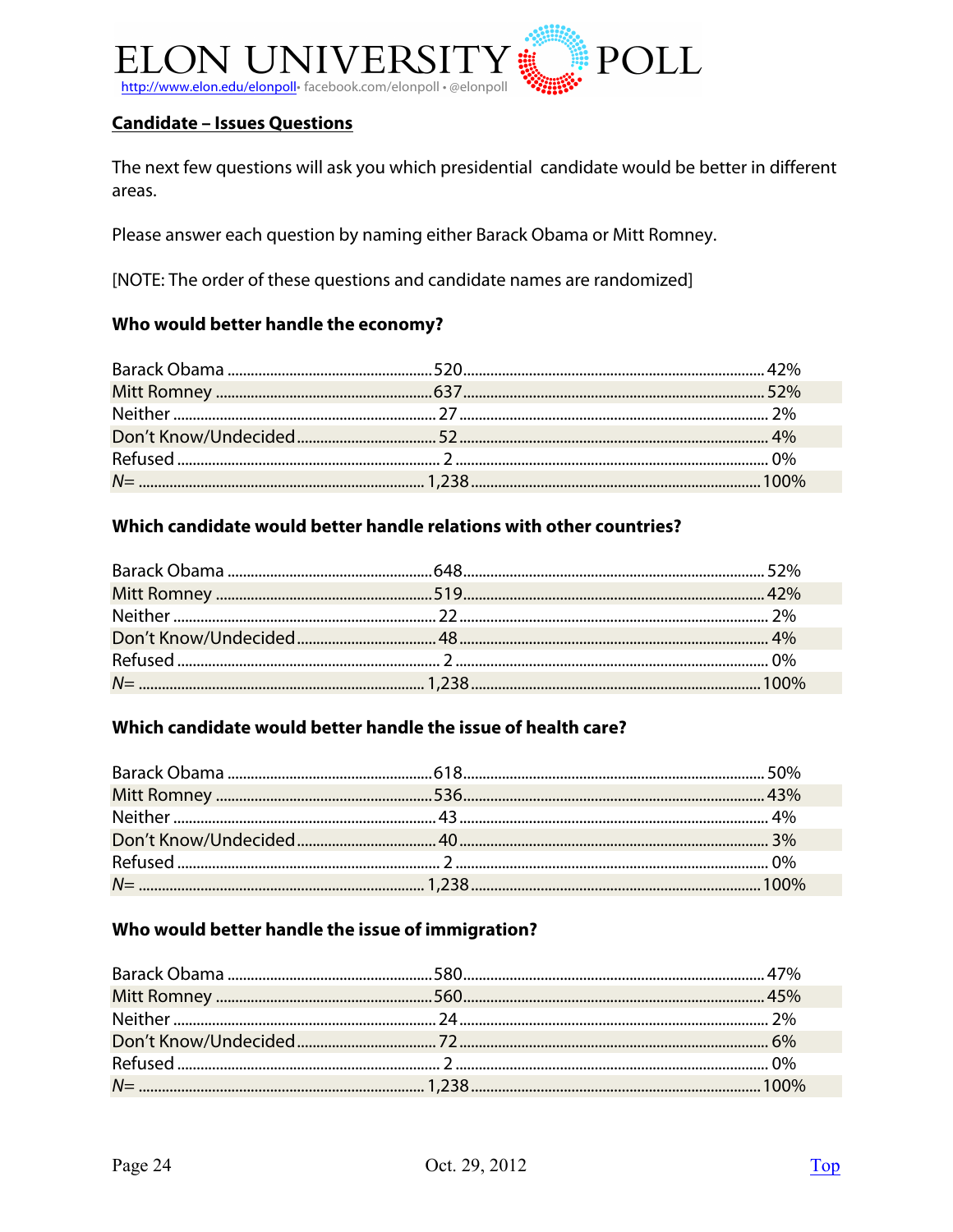

#### **Candidate - Issues Questions**

The next few questions will ask you which presidential candidate would be better in different areas.

Please answer each question by naming either Barack Obama or Mitt Romney.

[NOTE: The order of these questions and candidate names are randomized]

#### Who would better handle the economy?

### Which candidate would better handle relations with other countries?

## Which candidate would better handle the issue of health care?

#### Who would better handle the issue of immigration?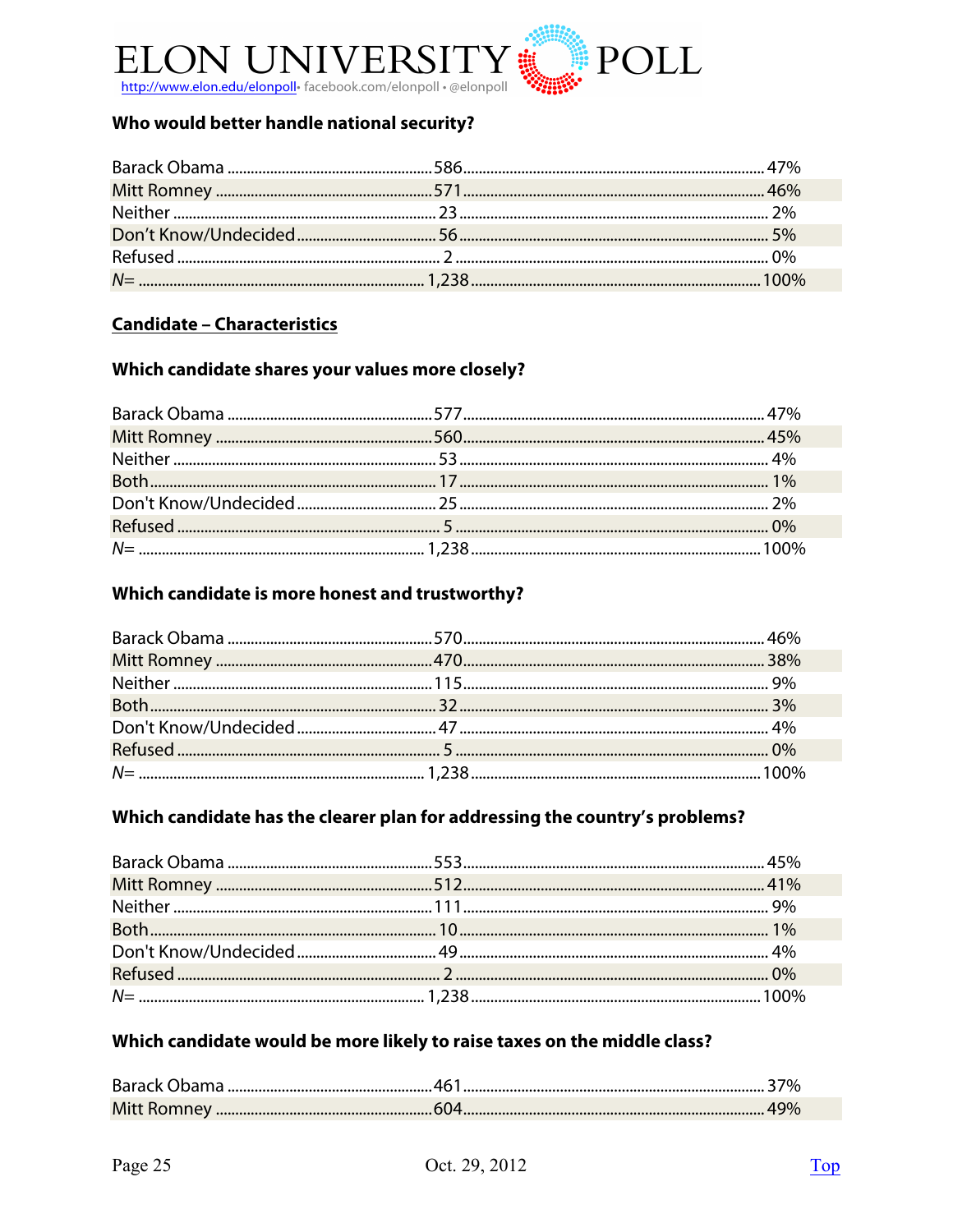

## Who would better handle national security?

#### **Candidate - Characteristics**

#### Which candidate shares your values more closely?

## Which candidate is more honest and trustworthy?

## Which candidate has the clearer plan for addressing the country's problems?

#### Which candidate would be more likely to raise taxes on the middle class?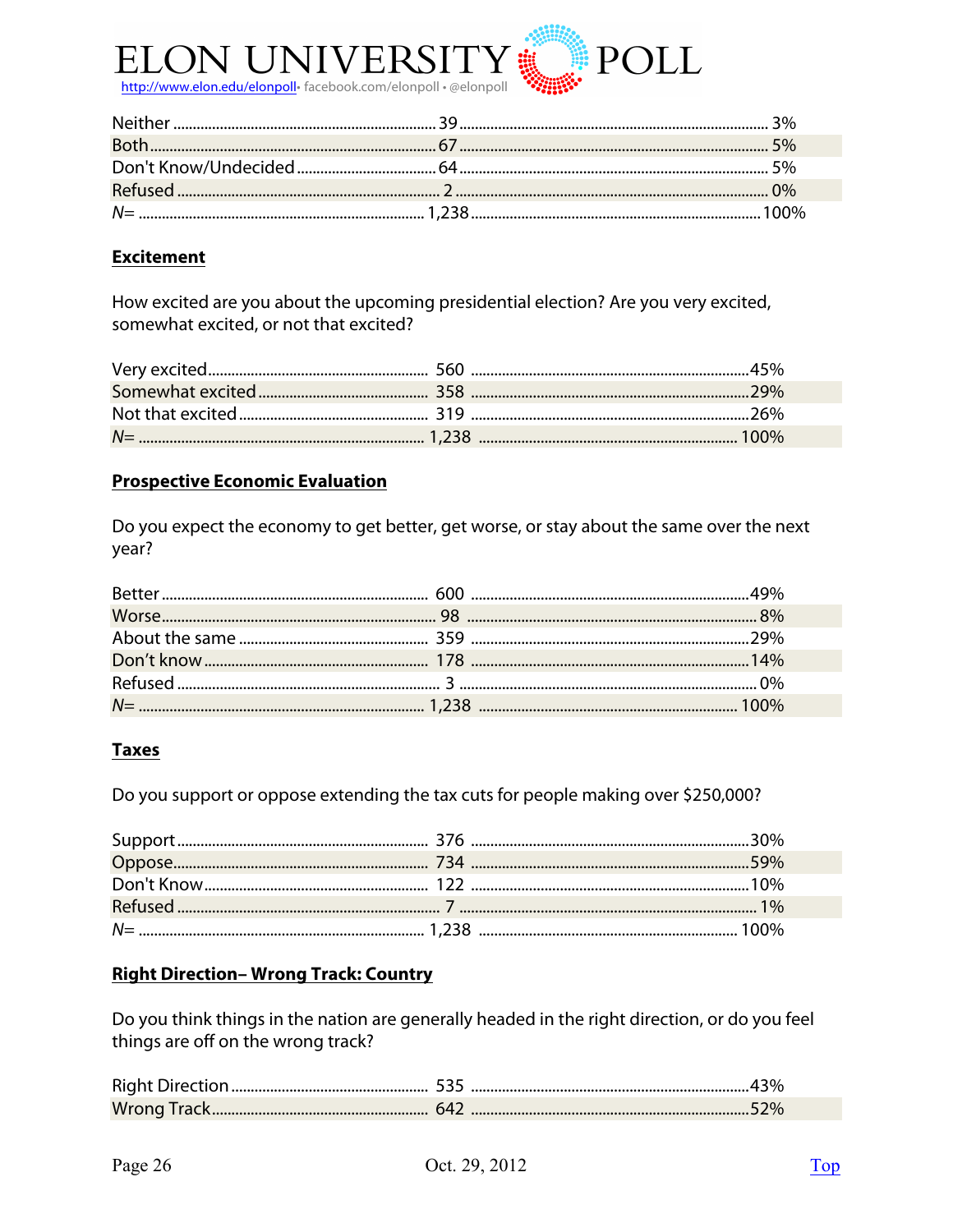

#### **Excitement**

How excited are you about the upcoming presidential election? Are you very excited, somewhat excited, or not that excited?

#### **Prospective Economic Evaluation**

Do you expect the economy to get better, get worse, or stay about the same over the next year?

#### **Taxes**

Do you support or oppose extending the tax cuts for people making over \$250,000?

#### **Right Direction- Wrong Track: Country**

Do you think things in the nation are generally headed in the right direction, or do you feel things are off on the wrong track?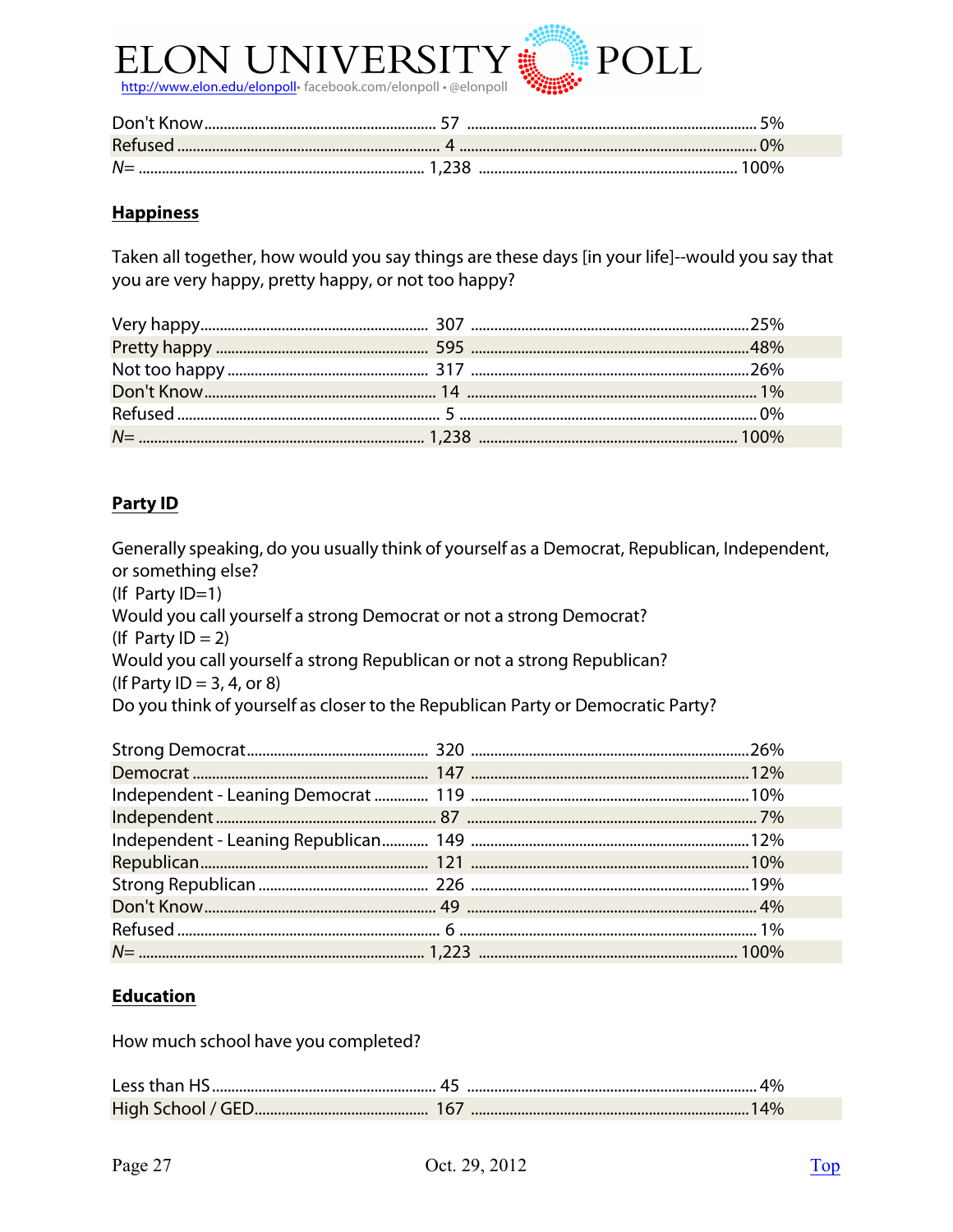

#### **Happiness**

Taken all together, how would you say things are these days [in your life]--would you say that you are very happy, pretty happy, or not too happy?

### **Party ID**

Generally speaking, do you usually think of yourself as a Democrat, Republican, Independent, or something else? (If Party  $ID=1$ ) Would you call yourself a strong Democrat or not a strong Democrat? (If Party  $ID = 2$ ) Would you call yourself a strong Republican or not a strong Republican? (If Party ID = 3, 4, or 8) Do you think of yourself as closer to the Republican Party or Democratic Party?

#### **Education**

How much school have you completed?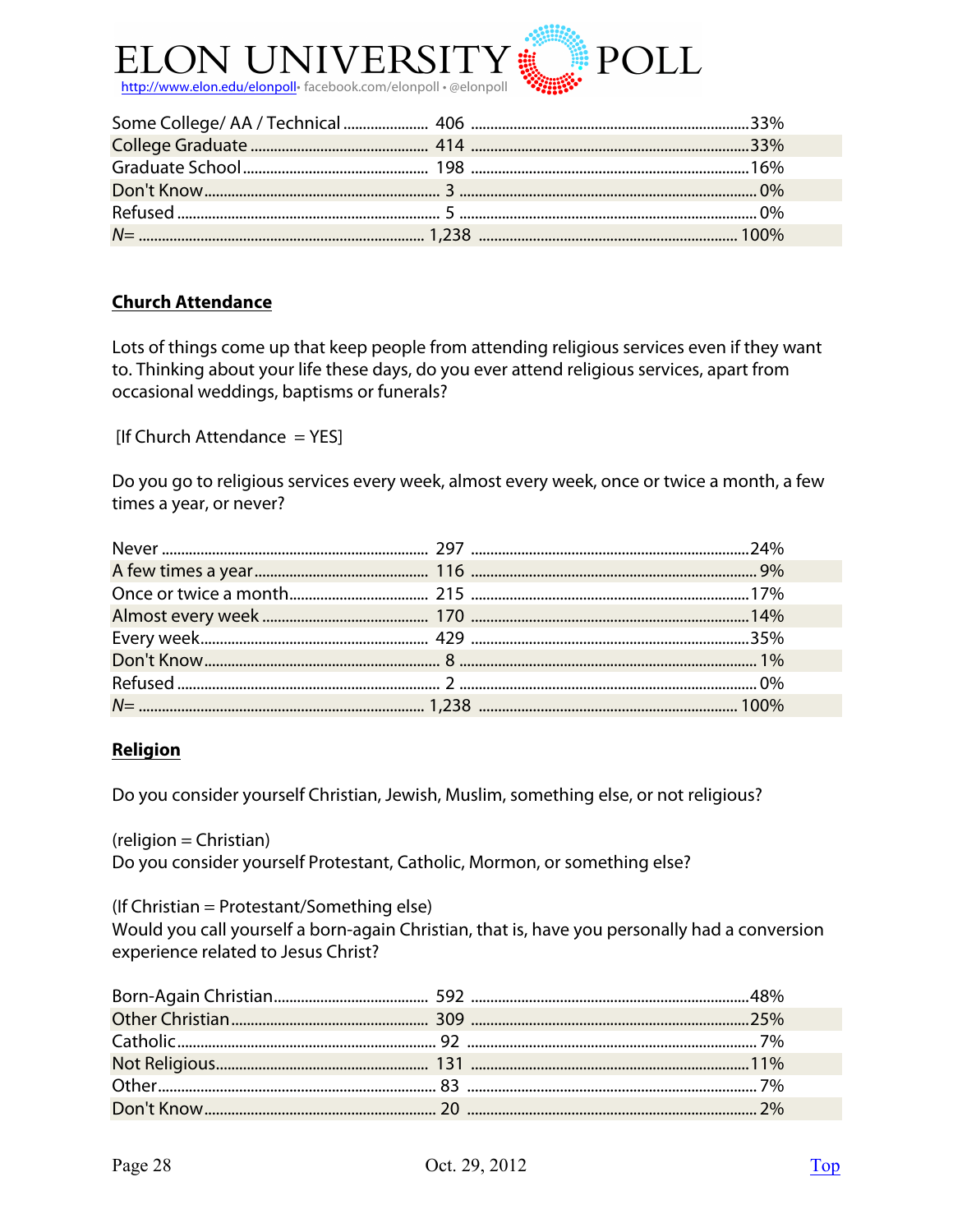

## **Church Attendance**

Lots of things come up that keep people from attending religious services even if they want to. Thinking about your life these days, do you ever attend religious services, apart from occasional weddings, baptisms or funerals?

[If Church Attendance  $=$  YES]

Do you go to religious services every week, almost every week, once or twice a month, a few times a year, or never?

#### Religion

Do you consider yourself Christian, Jewish, Muslim, something else, or not religious?

 $(religion = Christian)$ Do you consider yourself Protestant, Catholic, Mormon, or something else?

(If Christian = Protestant/Something else) Would you call yourself a born-again Christian, that is, have you personally had a conversion

experience related to Jesus Christ?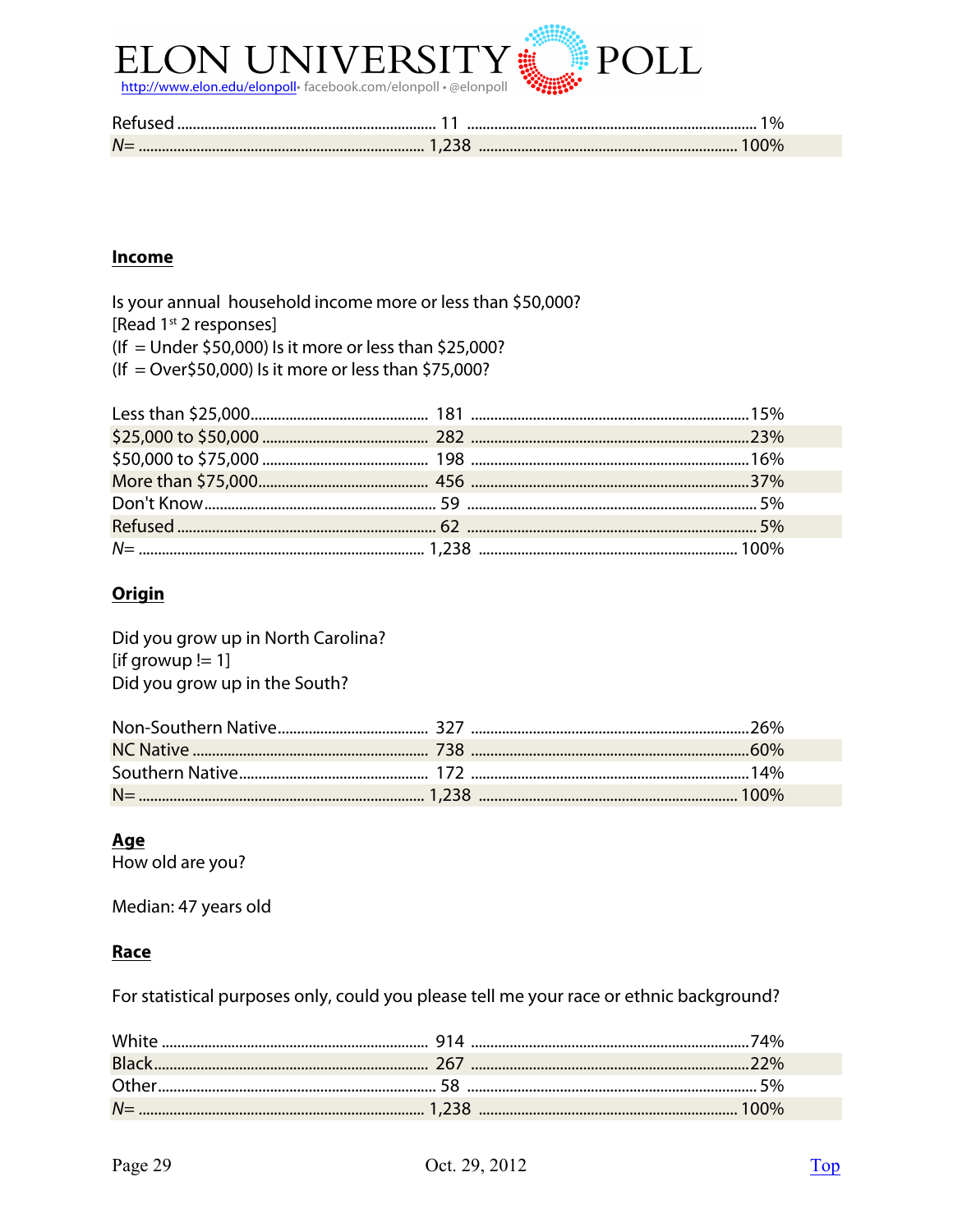

| $N =$ |  |
|-------|--|

#### Income

Is your annual household income more or less than \$50,000? [Read 1<sup>st</sup> 2 responses] (If = Under \$50,000) Is it more or less than \$25,000?  $($ If = Over\$50,000) Is it more or less than \$75,000?

#### **Origin**

Did you grow up in North Carolina? [if growup  $!= 1$ ] Did you grow up in the South?

#### Age

How old are you?

Median: 47 years old

#### Race

For statistical purposes only, could you please tell me your race or ethnic background?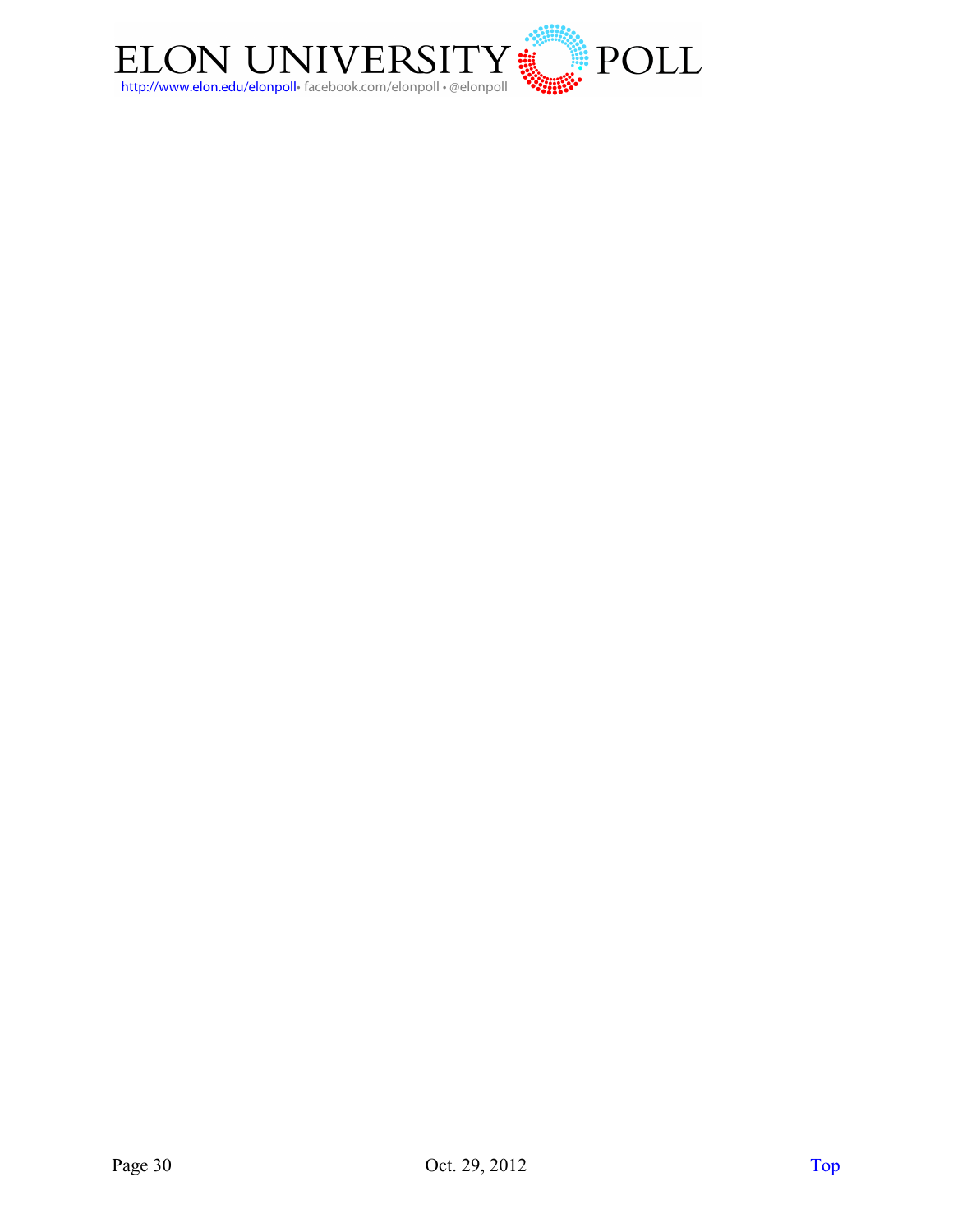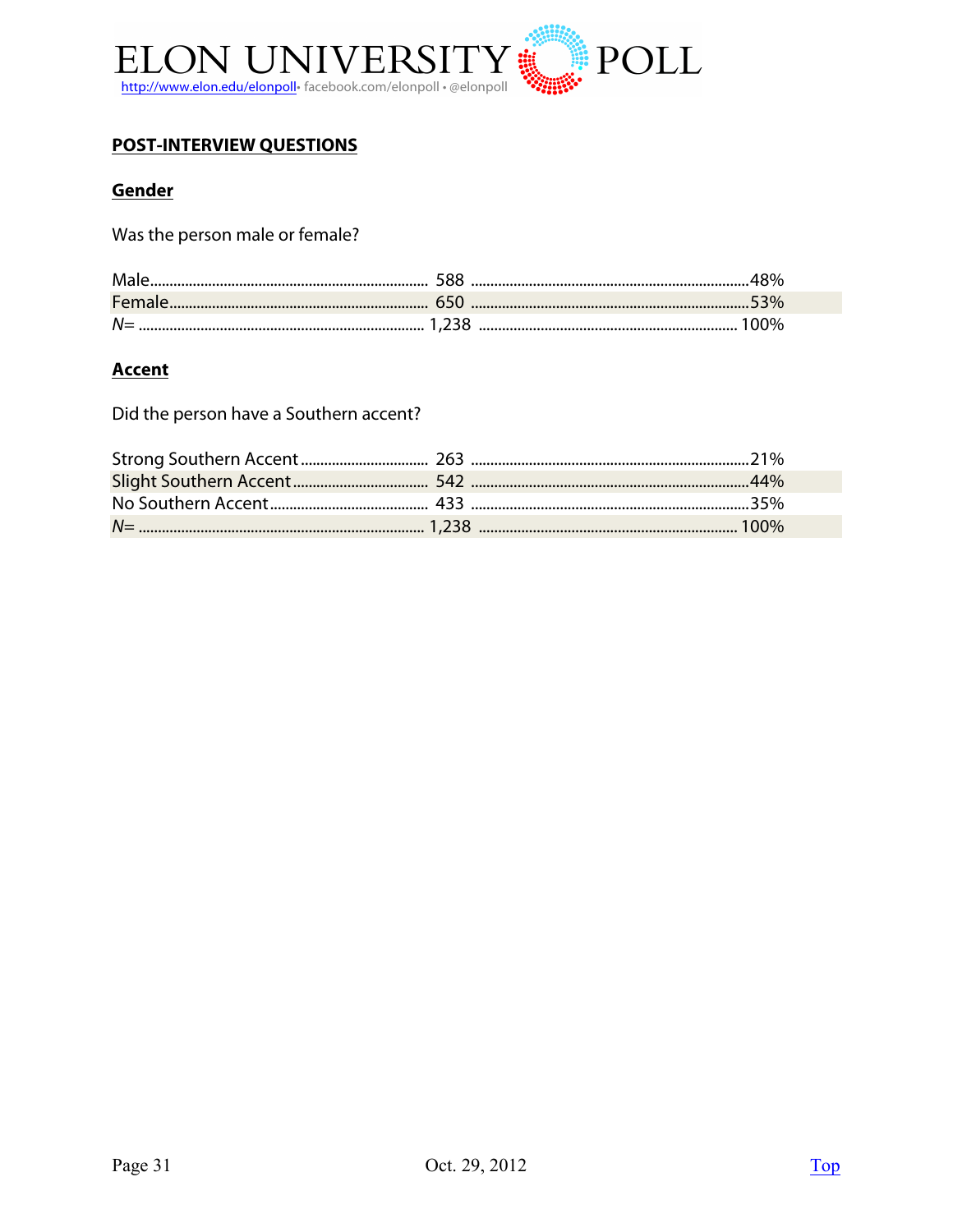

## **POST-INTERVIEW QUESTIONS**

### Gender

Was the person male or female?

### **Accent**

Did the person have a Southern accent?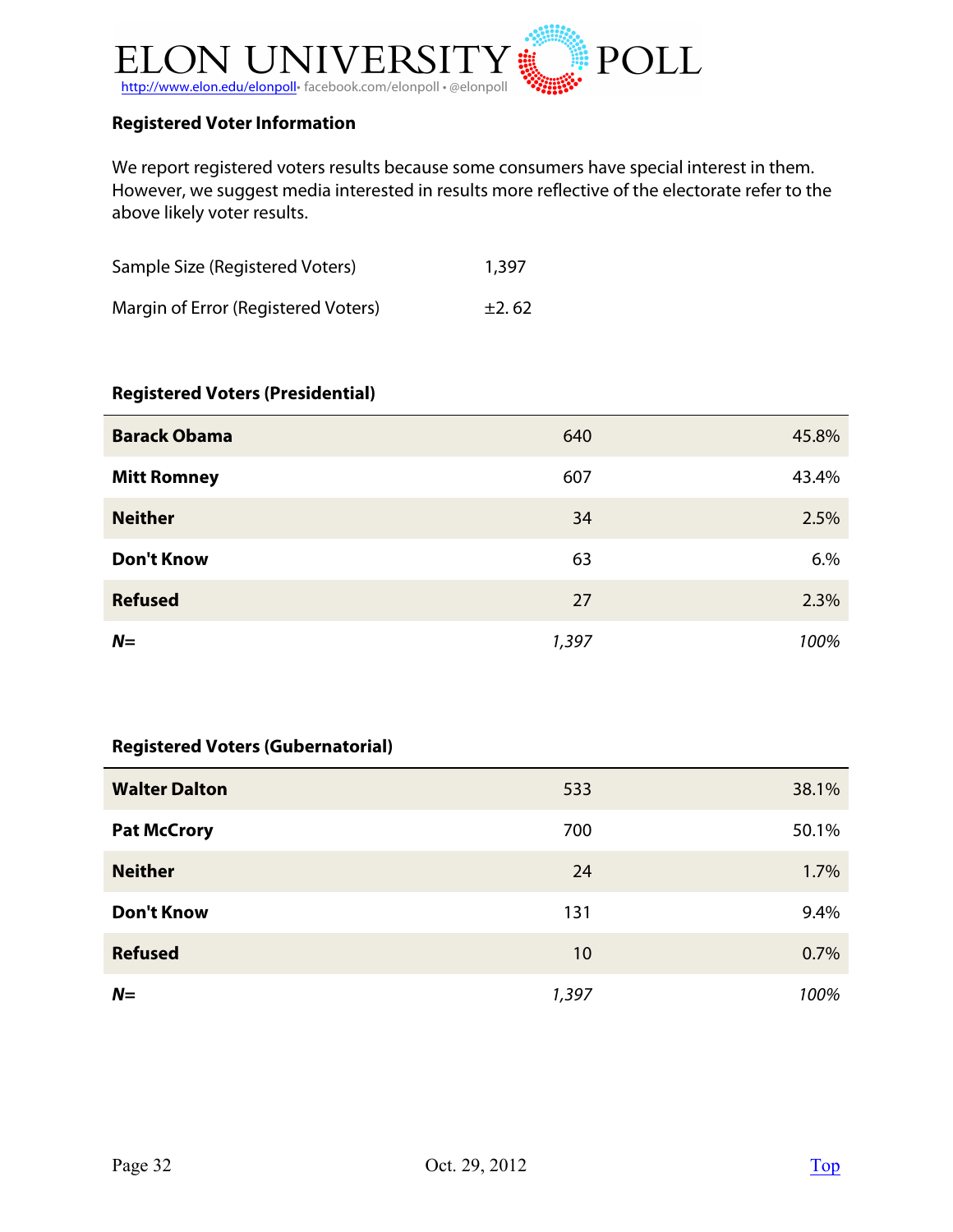

#### **Registered Voter Information**

We report registered voters results because some consumers have special interest in them. However, we suggest media interested in results more reflective of the electorate refer to the above likely voter results.

| Sample Size (Registered Voters)     | 1,397 |
|-------------------------------------|-------|
| Margin of Error (Registered Voters) | ±2.62 |

## **Registered Voters (Presidential)**

| <b>Barack Obama</b> | 640   | 45.8% |
|---------------------|-------|-------|
| <b>Mitt Romney</b>  | 607   | 43.4% |
| <b>Neither</b>      | 34    | 2.5%  |
| <b>Don't Know</b>   | 63    | 6.%   |
| <b>Refused</b>      | 27    | 2.3%  |
| $N=$                | 1,397 | 100%  |

#### **Registered Voters (Gubernatorial)**

| <b>Walter Dalton</b> | 533   | 38.1% |
|----------------------|-------|-------|
| <b>Pat McCrory</b>   | 700   | 50.1% |
| <b>Neither</b>       | 24    | 1.7%  |
| <b>Don't Know</b>    | 131   | 9.4%  |
| <b>Refused</b>       | 10    | 0.7%  |
| $N=$                 | 1,397 | 100%  |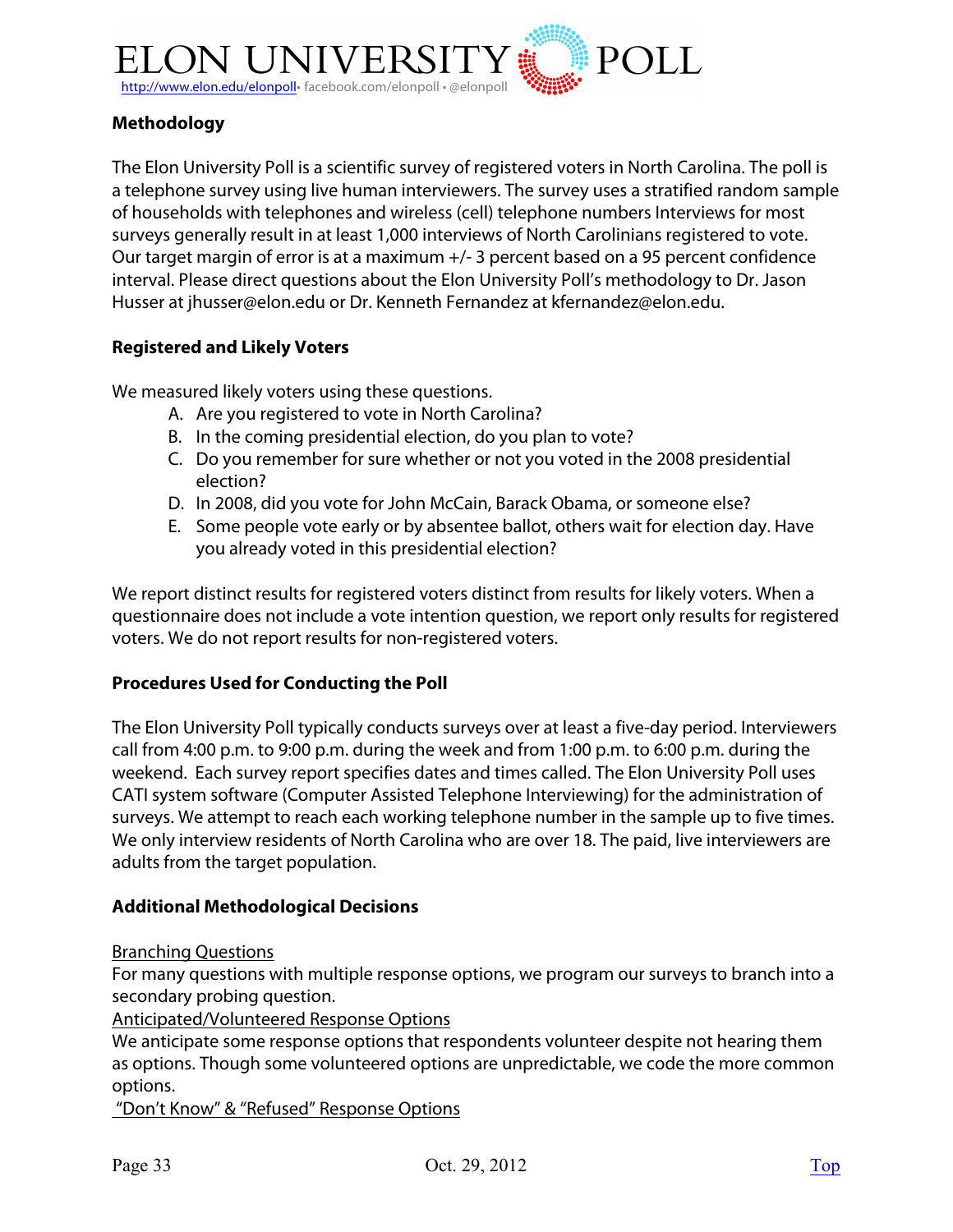

### **Methodology**

The Elon University Poll is a scientific survey of registered voters in North Carolina. The poll is a telephone survey using live human interviewers. The survey uses a stratified random sample of households with telephones and wireless (cell) telephone numbers Interviews for most surveys generally result in at least 1,000 interviews of North Carolinians registered to vote. Our target margin of error is at a maximum +/- 3 percent based on a 95 percent confidence interval. Please direct questions about the Elon University Poll's methodology to Dr. Jason Husser at jhusser@elon.edu or Dr. Kenneth Fernandez at kfernandez@elon.edu.

#### **Registered and Likely Voters**

We measured likely voters using these questions.

- A. Are you registered to vote in North Carolina?
- B. In the coming presidential election, do you plan to vote?
- C. Do you remember for sure whether or not you voted in the 2008 presidential election?
- D. In 2008, did you vote for John McCain, Barack Obama, or someone else?
- E. Some people vote early or by absentee ballot, others wait for election day. Have you already voted in this presidential election?

We report distinct results for registered voters distinct from results for likely voters. When a questionnaire does not include a vote intention question, we report only results for registered voters. We do not report results for non-registered voters.

#### **Procedures Used for Conducting the Poll**

The Elon University Poll typically conducts surveys over at least a five-day period. Interviewers call from 4:00 p.m. to 9:00 p.m. during the week and from 1:00 p.m. to 6:00 p.m. during the weekend. Each survey report specifies dates and times called. The Elon University Poll uses CATI system software (Computer Assisted Telephone Interviewing) for the administration of surveys. We attempt to reach each working telephone number in the sample up to five times. We only interview residents of North Carolina who are over 18. The paid, live interviewers are adults from the target population.

#### **Additional Methodological Decisions**

#### Branching Questions

For many questions with multiple response options, we program our surveys to branch into a secondary probing question.

Anticipated/Volunteered Response Options

We anticipate some response options that respondents volunteer despite not hearing them as options. Though some volunteered options are unpredictable, we code the more common options.

"Don't Know" & "Refused" Response Options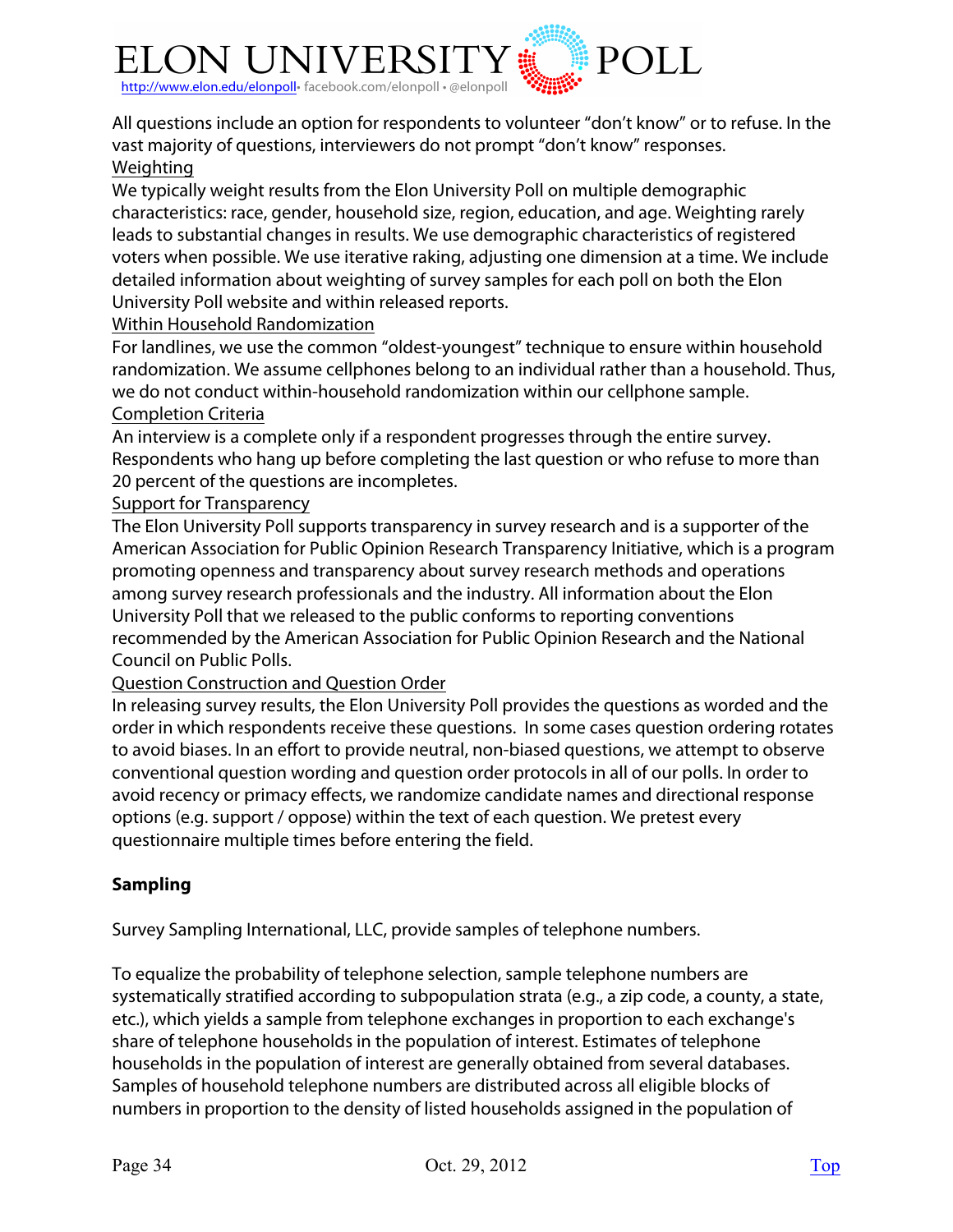

All questions include an option for respondents to volunteer "don't know" or to refuse. In the vast majority of questions, interviewers do not prompt "don't know" responses. Weighting

We typically weight results from the Elon University Poll on multiple demographic characteristics: race, gender, household size, region, education, and age. Weighting rarely leads to substantial changes in results. We use demographic characteristics of registered voters when possible. We use iterative raking, adjusting one dimension at a time. We include detailed information about weighting of survey samples for each poll on both the Elon University Poll website and within released reports.

### Within Household Randomization

For landlines, we use the common "oldest-youngest" technique to ensure within household randomization. We assume cellphones belong to an individual rather than a household. Thus, we do not conduct within-household randomization within our cellphone sample. Completion Criteria

An interview is a complete only if a respondent progresses through the entire survey. Respondents who hang up before completing the last question or who refuse to more than 20 percent of the questions are incompletes.

Support for Transparency

The Elon University Poll supports transparency in survey research and is a supporter of the American Association for Public Opinion Research Transparency Initiative, which is a program promoting openness and transparency about survey research methods and operations among survey research professionals and the industry. All information about the Elon University Poll that we released to the public conforms to reporting conventions recommended by the American Association for Public Opinion Research and the National Council on Public Polls.

Question Construction and Question Order

In releasing survey results, the Elon University Poll provides the questions as worded and the order in which respondents receive these questions. In some cases question ordering rotates to avoid biases. In an effort to provide neutral, non-biased questions, we attempt to observe conventional question wording and question order protocols in all of our polls. In order to avoid recency or primacy effects, we randomize candidate names and directional response options (e.g. support / oppose) within the text of each question. We pretest every questionnaire multiple times before entering the field.

## **Sampling**

Survey Sampling International, LLC, provide samples of telephone numbers.

To equalize the probability of telephone selection, sample telephone numbers are systematically stratified according to subpopulation strata (e.g., a zip code, a county, a state, etc.), which yields a sample from telephone exchanges in proportion to each exchange's share of telephone households in the population of interest. Estimates of telephone households in the population of interest are generally obtained from several databases. Samples of household telephone numbers are distributed across all eligible blocks of numbers in proportion to the density of listed households assigned in the population of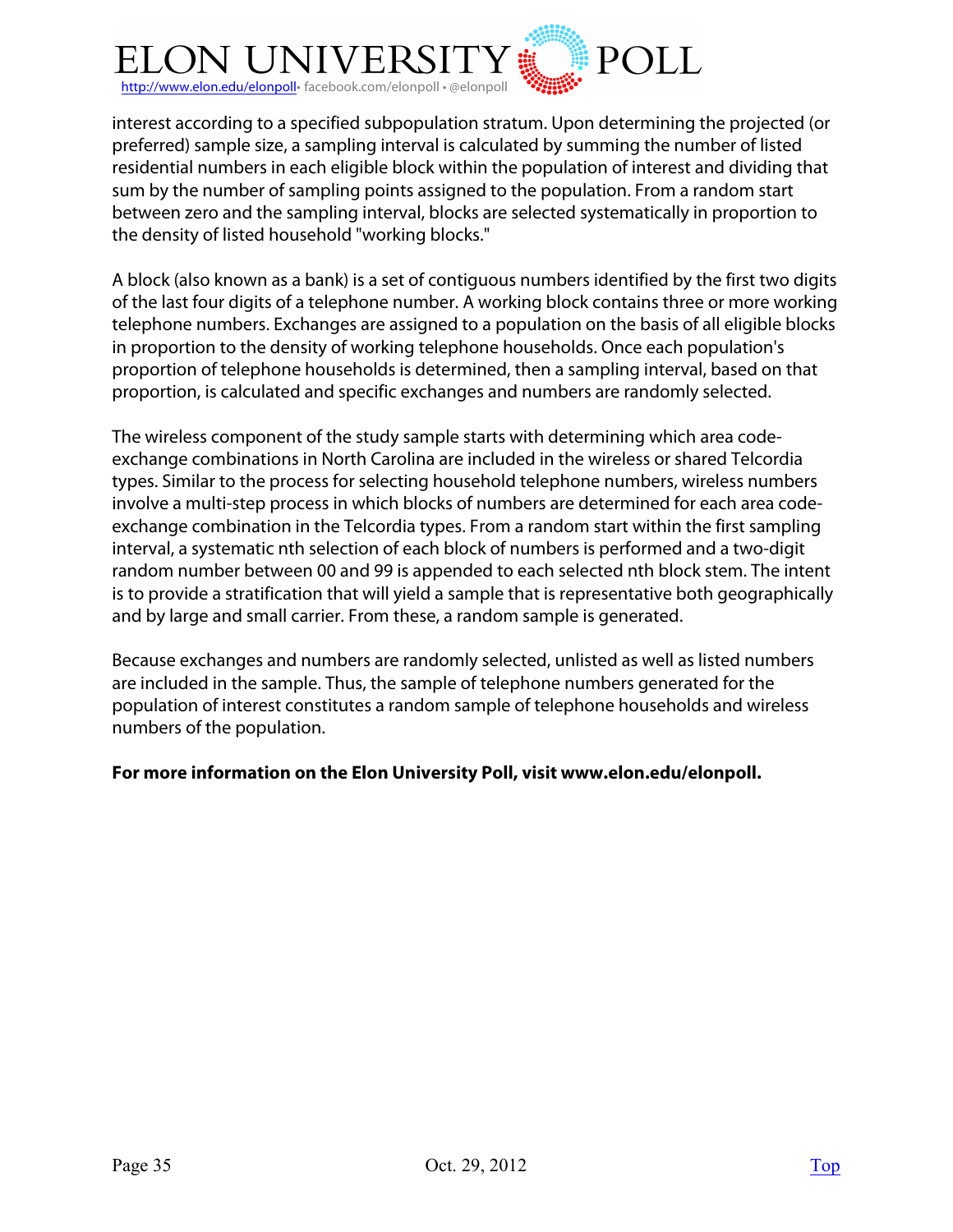

interest according to a specified subpopulation stratum. Upon determining the projected (or preferred) sample size, a sampling interval is calculated by summing the number of listed residential numbers in each eligible block within the population of interest and dividing that sum by the number of sampling points assigned to the population. From a random start between zero and the sampling interval, blocks are selected systematically in proportion to the density of listed household "working blocks."

A block (also known as a bank) is a set of contiguous numbers identified by the first two digits of the last four digits of a telephone number. A working block contains three or more working telephone numbers. Exchanges are assigned to a population on the basis of all eligible blocks in proportion to the density of working telephone households. Once each population's proportion of telephone households is determined, then a sampling interval, based on that proportion, is calculated and specific exchanges and numbers are randomly selected.

The wireless component of the study sample starts with determining which area codeexchange combinations in North Carolina are included in the wireless or shared Telcordia types. Similar to the process for selecting household telephone numbers, wireless numbers involve a multi-step process in which blocks of numbers are determined for each area codeexchange combination in the Telcordia types. From a random start within the first sampling interval, a systematic nth selection of each block of numbers is performed and a two-digit random number between 00 and 99 is appended to each selected nth block stem. The intent is to provide a stratification that will yield a sample that is representative both geographically and by large and small carrier. From these, a random sample is generated.

Because exchanges and numbers are randomly selected, unlisted as well as listed numbers are included in the sample. Thus, the sample of telephone numbers generated for the population of interest constitutes a random sample of telephone households and wireless numbers of the population.

#### **For more information on the Elon University Poll, visit www.elon.edu/elonpoll.**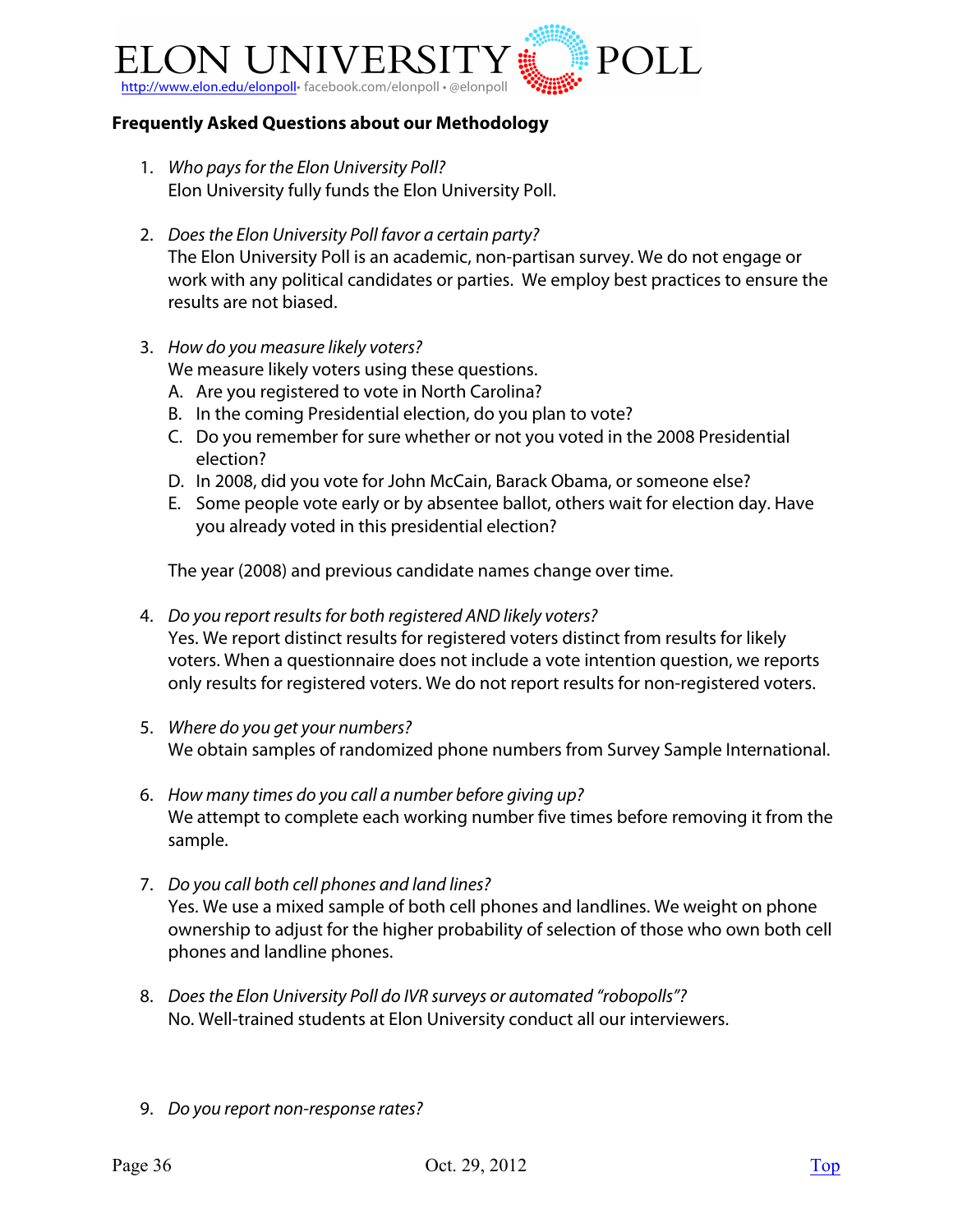

#### **Frequently Asked Questions about our Methodology**

- 1. *Who pays for the Elon University Poll?* Elon University fully funds the Elon University Poll.
- 2. *Does the Elon University Poll favor a certain party?* The Elon University Poll is an academic, non-partisan survey. We do not engage or work with any political candidates or parties. We employ best practices to ensure the results are not biased.
- 3. *How do you measure likely voters?*

We measure likely voters using these questions.

- A. Are you registered to vote in North Carolina?
- B. In the coming Presidential election, do you plan to vote?
- C. Do you remember for sure whether or not you voted in the 2008 Presidential election?
- D. In 2008, did you vote for John McCain, Barack Obama, or someone else?
- E. Some people vote early or by absentee ballot, others wait for election day. Have you already voted in this presidential election?

The year (2008) and previous candidate names change over time.

- 4. *Do you report results for both registered AND likely voters?* Yes. We report distinct results for registered voters distinct from results for likely voters. When a questionnaire does not include a vote intention question, we reports only results for registered voters. We do not report results for non-registered voters.
- 5. *Where do you get your numbers?* We obtain samples of randomized phone numbers from Survey Sample International.
- 6. *How many times do you call a number before giving up?* We attempt to complete each working number five times before removing it from the sample.
- 7. *Do you call both cell phones and land lines?* Yes. We use a mixed sample of both cell phones and landlines. We weight on phone ownership to adjust for the higher probability of selection of those who own both cell phones and landline phones.
- 8. *Does the Elon University Poll do IVR surveys or automated "robopolls"?* No. Well-trained students at Elon University conduct all our interviewers.
- 9. *Do you report non-response rates?*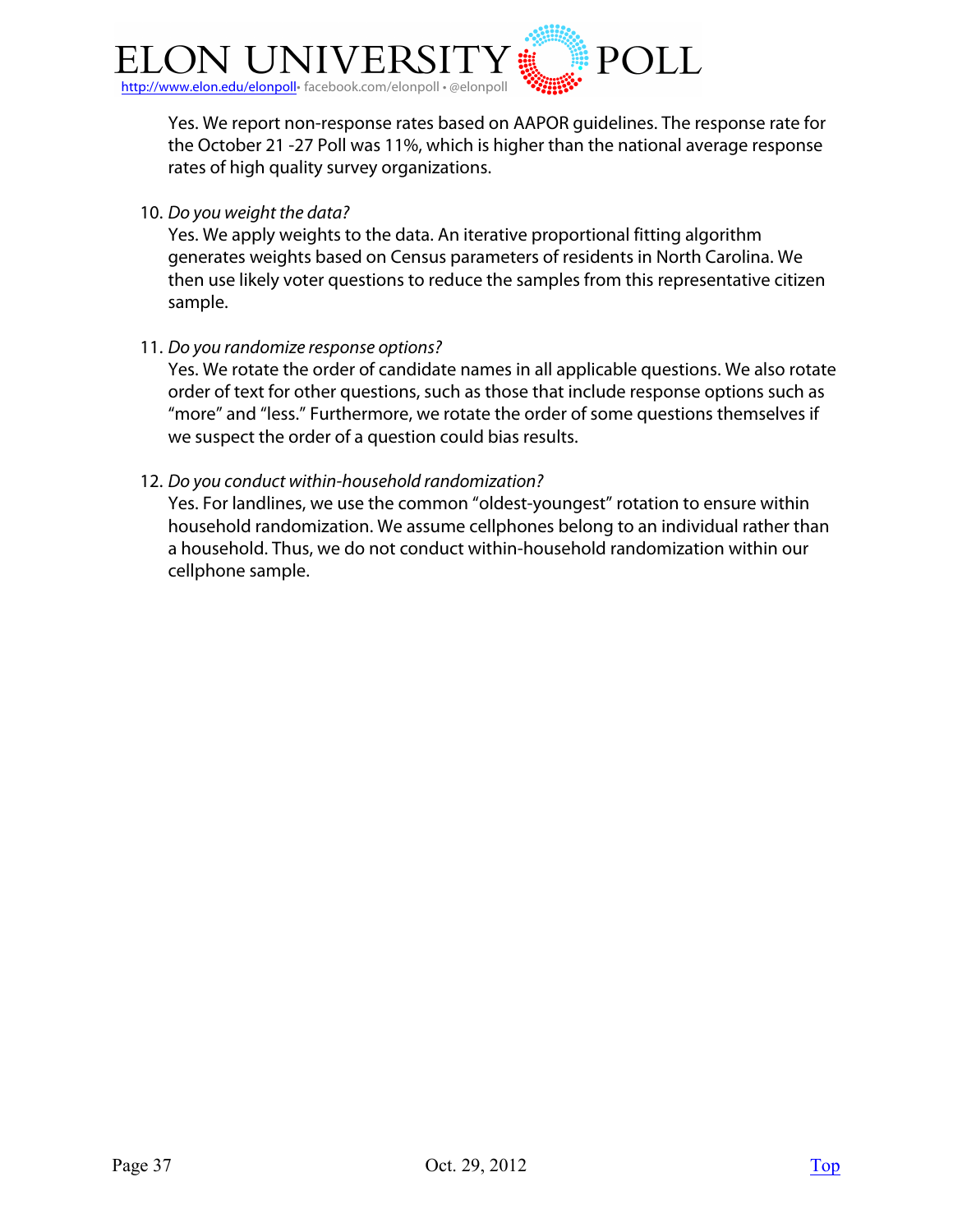

Yes. We report non-response rates based on AAPOR guidelines. The response rate for the October 21 -27 Poll was 11%, which is higher than the national average response rates of high quality survey organizations.

10. *Do you weight the data?*

Yes. We apply weights to the data. An iterative proportional fitting algorithm generates weights based on Census parameters of residents in North Carolina. We then use likely voter questions to reduce the samples from this representative citizen sample.

11. *Do you randomize response options?*

Yes. We rotate the order of candidate names in all applicable questions. We also rotate order of text for other questions, such as those that include response options such as "more" and "less." Furthermore, we rotate the order of some questions themselves if we suspect the order of a question could bias results.

### 12. *Do you conduct within-household randomization?*

Yes. For landlines, we use the common "oldest-youngest" rotation to ensure within household randomization. We assume cellphones belong to an individual rather than a household. Thus, we do not conduct within-household randomization within our cellphone sample.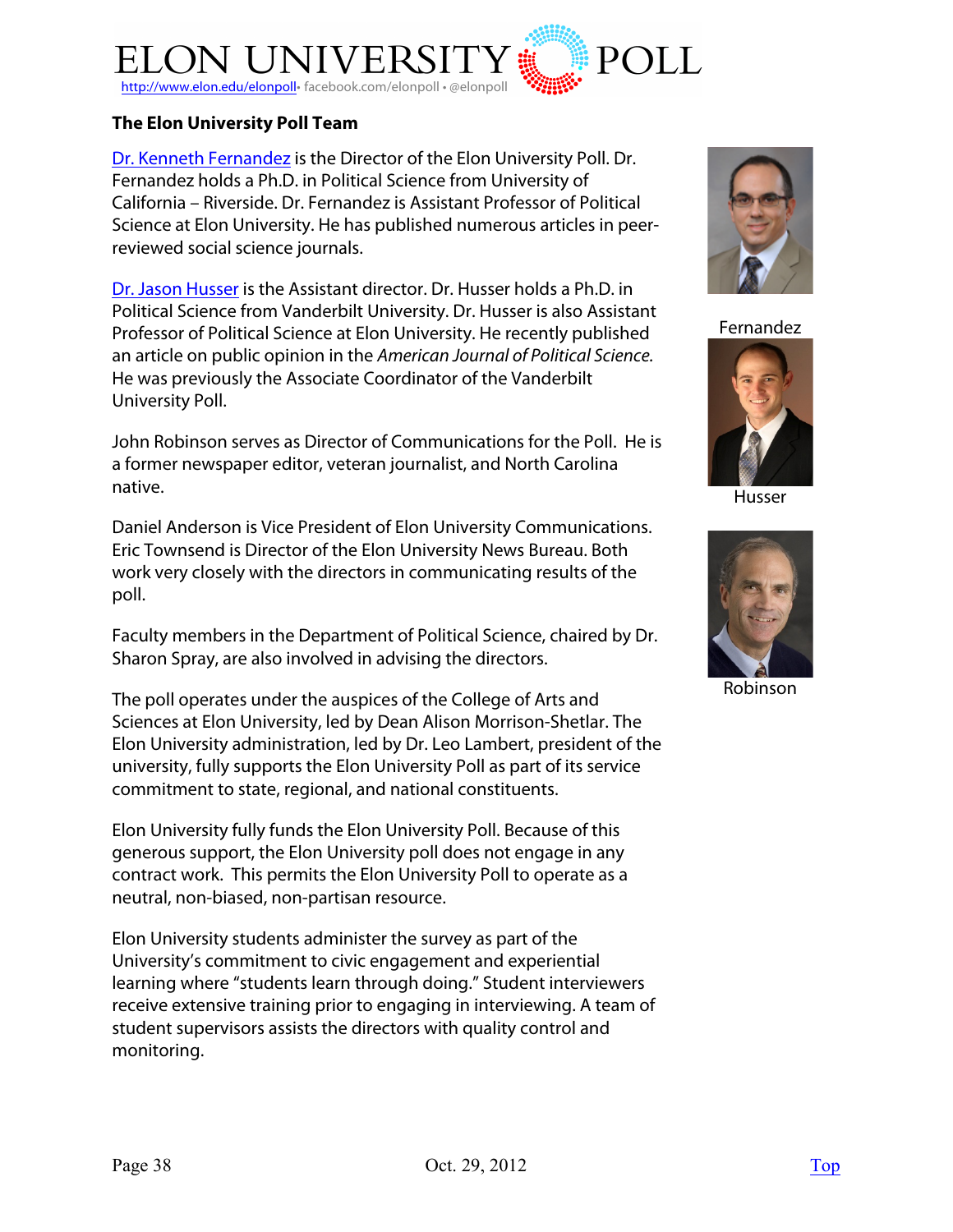

#### **The Elon University Poll Team**

Dr. Kenneth Fernandez is the Director of the Elon University Poll. Dr. Fernandez holds a Ph.D. in Political Science from University of California – Riverside. Dr. Fernandez is Assistant Professor of Political Science at Elon University. He has published numerous articles in peerreviewed social science journals.

Dr. Jason Husser is the Assistant director. Dr. Husser holds a Ph.D. in Political Science from Vanderbilt University. Dr. Husser is also Assistant Professor of Political Science at Elon University. He recently published an article on public opinion in the *American Journal of Political Science.*  He was previously the Associate Coordinator of the Vanderbilt University Poll.

John Robinson serves as Director of Communications for the Poll. He is a former newspaper editor, veteran journalist, and North Carolina native.

Daniel Anderson is Vice President of Elon University Communications. Eric Townsend is Director of the Elon University News Bureau. Both work very closely with the directors in communicating results of the poll.

Faculty members in the Department of Political Science, chaired by Dr. Sharon Spray, are also involved in advising the directors.

The poll operates under the auspices of the College of Arts and Sciences at Elon University, led by Dean Alison Morrison-Shetlar. The Elon University administration, led by Dr. Leo Lambert, president of the university, fully supports the Elon University Poll as part of its service commitment to state, regional, and national constituents.

Elon University fully funds the Elon University Poll. Because of this generous support, the Elon University poll does not engage in any contract work. This permits the Elon University Poll to operate as a neutral, non-biased, non-partisan resource.

Elon University students administer the survey as part of the University's commitment to civic engagement and experiential learning where "students learn through doing." Student interviewers receive extensive training prior to engaging in interviewing. A team of student supervisors assists the directors with quality control and monitoring.



Fernandez



Husser



Robinson